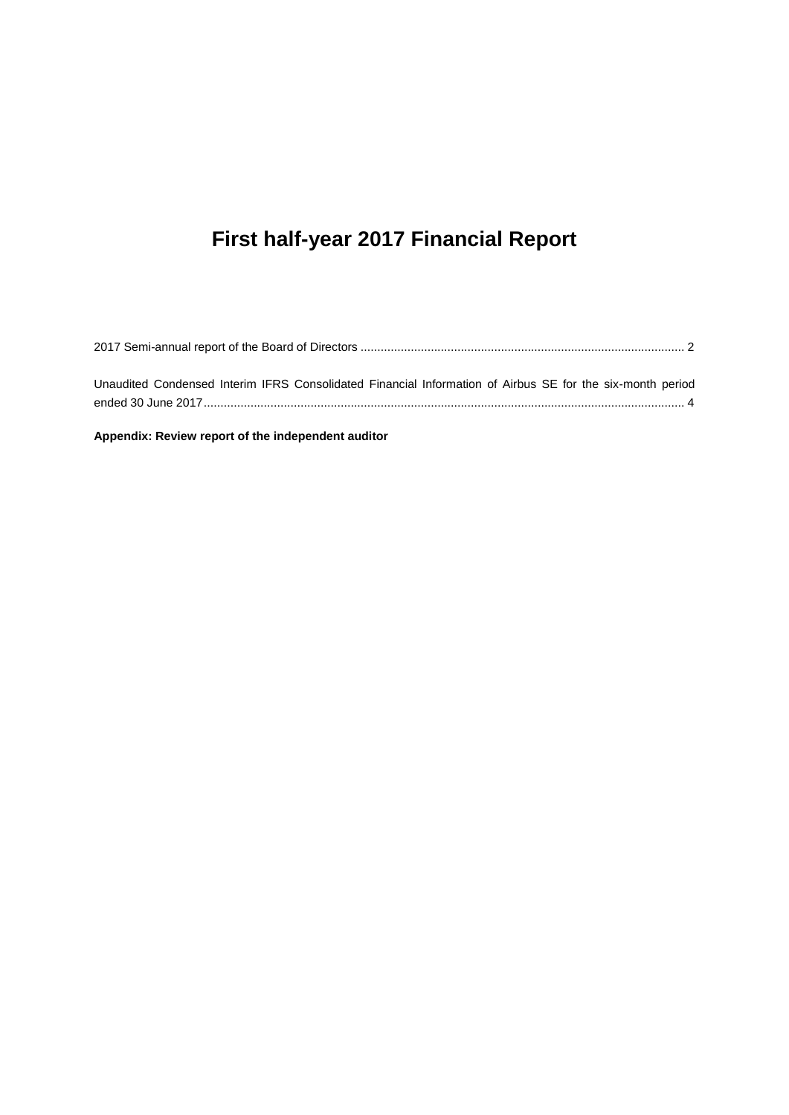# **First half-year 2017 Financial Report**

| Unaudited Condensed Interim IFRS Consolidated Financial Information of Airbus SE for the six-month period |  |
|-----------------------------------------------------------------------------------------------------------|--|
|                                                                                                           |  |
|                                                                                                           |  |

**Appendix: Review report of the independent auditor**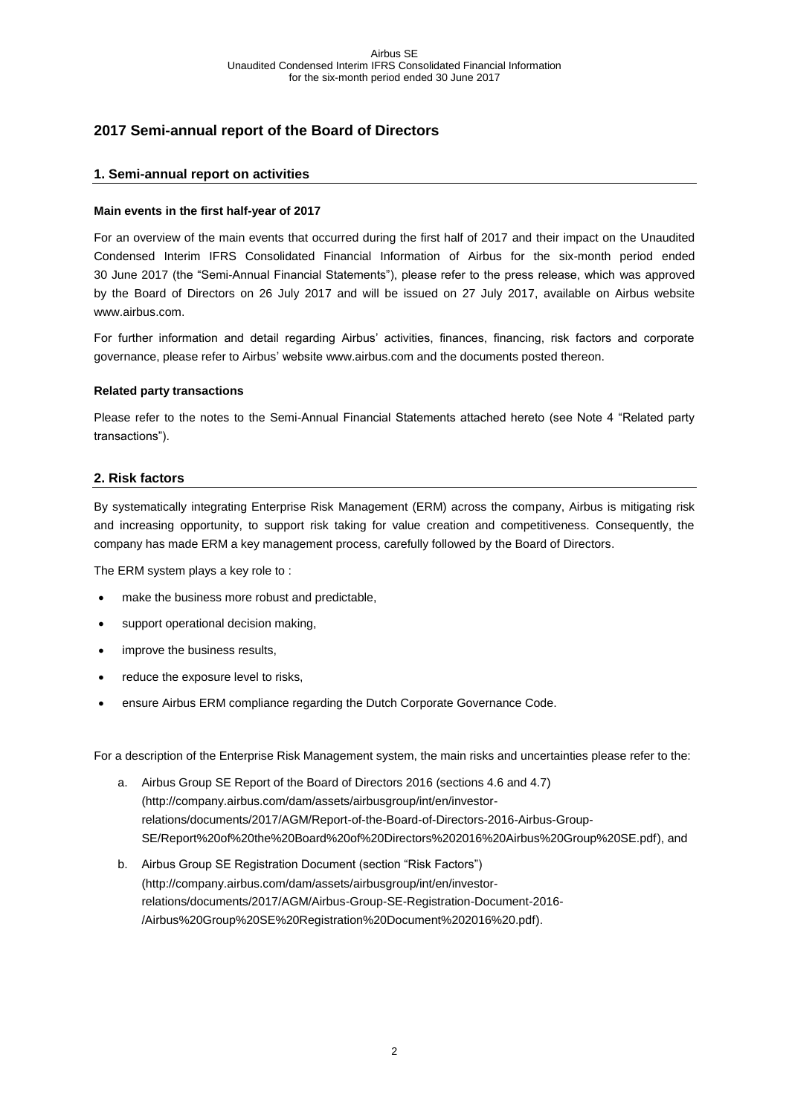# <span id="page-1-0"></span>**2017 Semi-annual report of the Board of Directors**

#### **1. Semi-annual report on activities**

#### **Main events in the first half-year of 2017**

For an overview of the main events that occurred during the first half of 2017 and their impact on the Unaudited Condensed Interim IFRS Consolidated Financial Information of Airbus for the six-month period ended 30 June 2017 (the "Semi-Annual Financial Statements"), please refer to the press release, which was approved by the Board of Directors on 26 July 2017 and will be issued on 27 July 2017, available on Airbus website [www.airbus.com.](http://www.airbusgroup.com/)

For further information and detail regarding Airbus' activities, finances, financing, risk factors and corporate governance, please refer to Airbus' website www.airbus.com and the documents posted thereon.

#### **Related party transactions**

Please refer to the notes to the Semi-Annual Financial Statements attached hereto (see Note 4 "Related party transactions").

#### **2. Risk factors**

By systematically integrating Enterprise Risk Management (ERM) across the company, Airbus is mitigating risk and increasing opportunity, to support risk taking for value creation and competitiveness. Consequently, the company has made ERM a key management process, carefully followed by the Board of Directors.

The ERM system plays a key role to :

- make the business more robust and predictable,
- support operational decision making,
- improve the business results,
- reduce the exposure level to risks,
- ensure Airbus ERM compliance regarding the Dutch Corporate Governance Code.

For a description of the Enterprise Risk Management system, the main risks and uncertainties please refer to the:

- a. Airbus Group SE Report of the Board of Directors 2016 (sections 4.6 and 4.7) (http://company.airbus.com/dam/assets/airbusgroup/int/en/investorrelations/documents/2017/AGM/Report-of-the-Board-of-Directors-2016-Airbus-Group-SE/Report%20of%20the%20Board%20of%20Directors%202016%20Airbus%20Group%20SE.pdf), and
- b. Airbus Group SE Registration Document (section "Risk Factors") (http://company.airbus.com/dam/assets/airbusgroup/int/en/investorrelations/documents/2017/AGM/Airbus-Group-SE-Registration-Document-2016- /Airbus%20Group%20SE%20Registration%20Document%202016%20.pdf).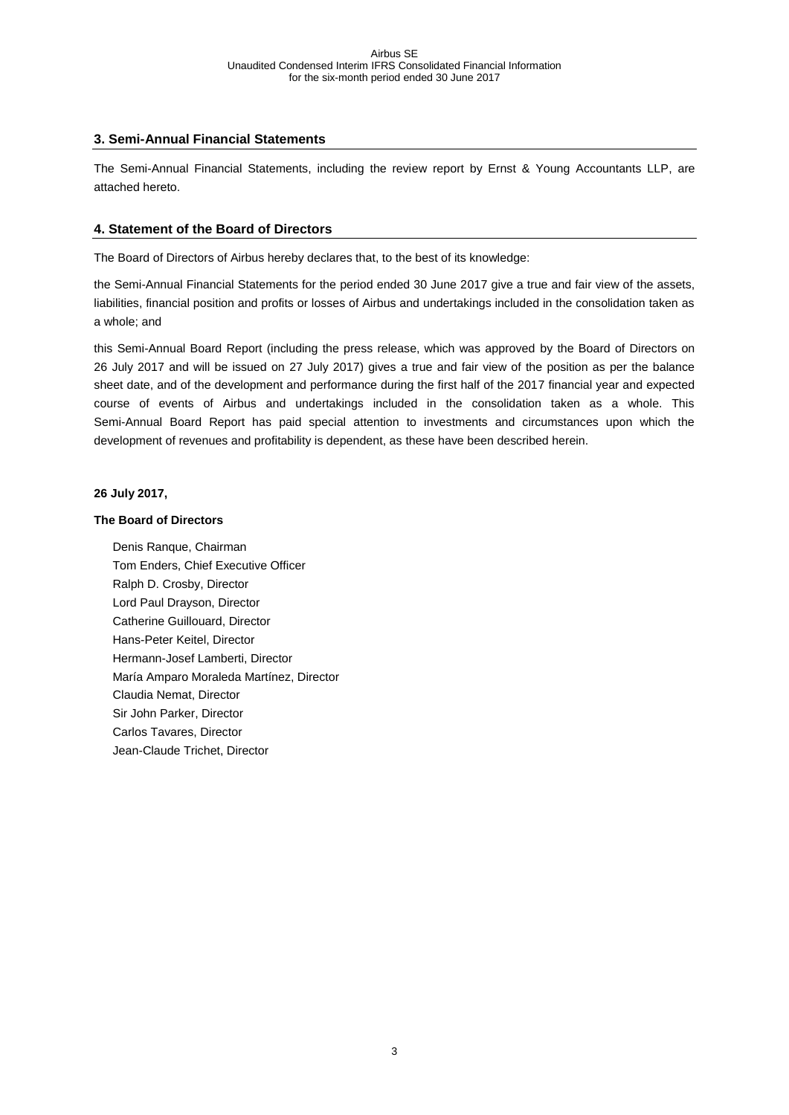#### **3. Semi-Annual Financial Statements**

The Semi-Annual Financial Statements, including the review report by Ernst & Young Accountants LLP, are attached hereto.

### **4. Statement of the Board of Directors**

The Board of Directors of Airbus hereby declares that, to the best of its knowledge:

the Semi-Annual Financial Statements for the period ended 30 June 2017 give a true and fair view of the assets, liabilities, financial position and profits or losses of Airbus and undertakings included in the consolidation taken as a whole; and

this Semi-Annual Board Report (including the press release, which was approved by the Board of Directors on 26 July 2017 and will be issued on 27 July 2017) gives a true and fair view of the position as per the balance sheet date, and of the development and performance during the first half of the 2017 financial year and expected course of events of Airbus and undertakings included in the consolidation taken as a whole. This Semi-Annual Board Report has paid special attention to investments and circumstances upon which the development of revenues and profitability is dependent, as these have been described herein.

#### **26 July 2017,**

#### **The Board of Directors**

Denis Ranque, Chairman Tom Enders, Chief Executive Officer Ralph D. Crosby, Director Lord Paul Drayson, Director Catherine Guillouard, Director Hans-Peter Keitel, Director Hermann-Josef Lamberti, Director María Amparo Moraleda Martínez, Director Claudia Nemat, Director Sir John Parker, Director Carlos Tavares, Director Jean-Claude Trichet, Director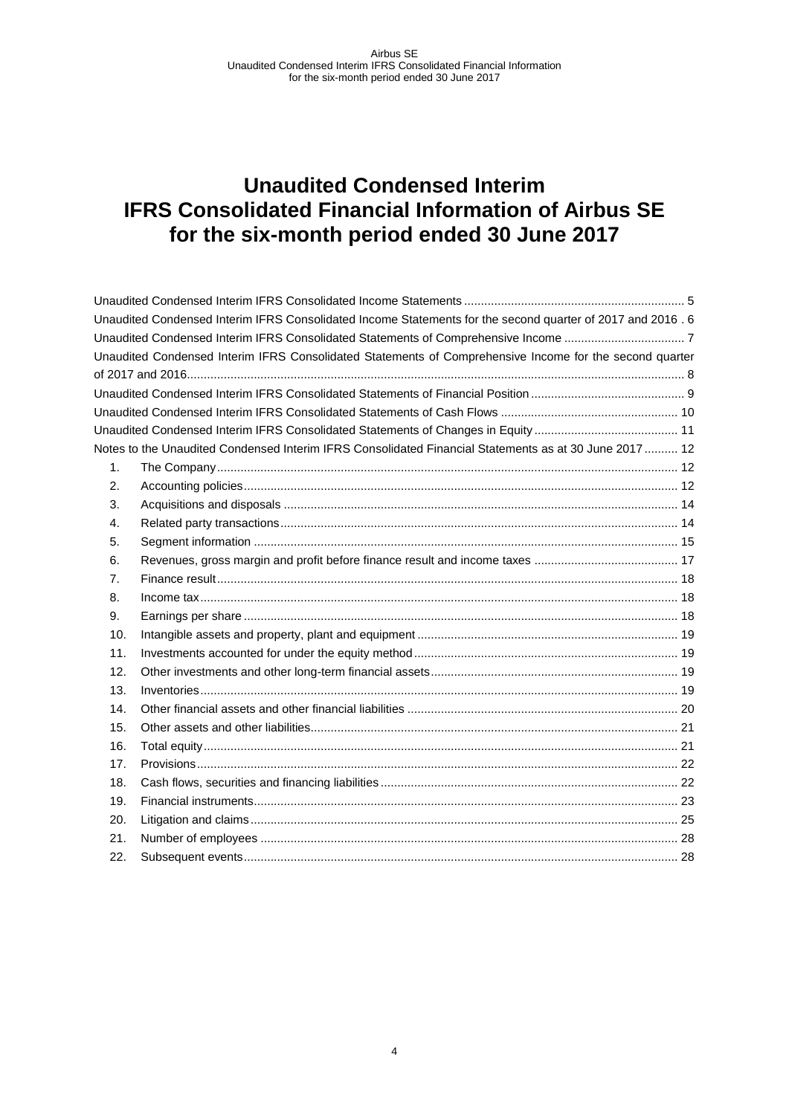<span id="page-3-0"></span>

|     | Unaudited Condensed Interim IFRS Consolidated Income Statements for the second quarter of 2017 and 2016. 6 |  |
|-----|------------------------------------------------------------------------------------------------------------|--|
|     | Unaudited Condensed Interim IFRS Consolidated Statements of Comprehensive Income 7                         |  |
|     | Unaudited Condensed Interim IFRS Consolidated Statements of Comprehensive Income for the second quarter    |  |
|     |                                                                                                            |  |
|     |                                                                                                            |  |
|     |                                                                                                            |  |
|     |                                                                                                            |  |
|     | Notes to the Unaudited Condensed Interim IFRS Consolidated Financial Statements as at 30 June 2017 12      |  |
| 1.  |                                                                                                            |  |
| 2.  |                                                                                                            |  |
| 3.  |                                                                                                            |  |
| 4.  |                                                                                                            |  |
| 5.  |                                                                                                            |  |
| 6.  |                                                                                                            |  |
| 7.  |                                                                                                            |  |
| 8.  |                                                                                                            |  |
| 9.  |                                                                                                            |  |
| 10. |                                                                                                            |  |
| 11. |                                                                                                            |  |
| 12. |                                                                                                            |  |
| 13. |                                                                                                            |  |
| 14. |                                                                                                            |  |
| 15. |                                                                                                            |  |
| 16. |                                                                                                            |  |
| 17. |                                                                                                            |  |
| 18. |                                                                                                            |  |
| 19. |                                                                                                            |  |
| 20. |                                                                                                            |  |
| 21. |                                                                                                            |  |
| 22. |                                                                                                            |  |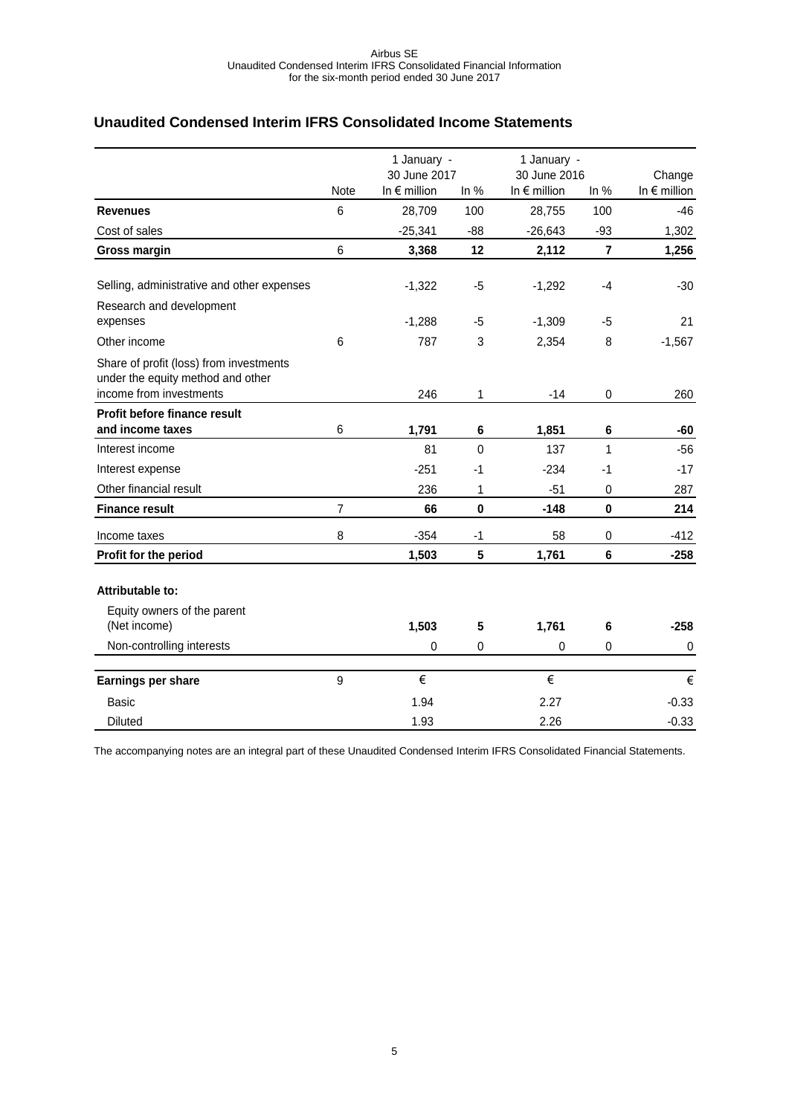## <span id="page-4-0"></span>**Unaudited Condensed Interim IFRS Consolidated Income Statements**

|                                                                                                         |                 | 1 January -                           |             | 1 January -                           |                |                                 |
|---------------------------------------------------------------------------------------------------------|-----------------|---------------------------------------|-------------|---------------------------------------|----------------|---------------------------------|
|                                                                                                         | Note            | 30 June 2017<br>In $\epsilon$ million | In $%$      | 30 June 2016<br>In $\epsilon$ million | In $%$         | Change<br>In $\epsilon$ million |
| <b>Revenues</b>                                                                                         | $6\phantom{1}6$ | 28,709                                | 100         | 28,755                                | 100            | $-46$                           |
| Cost of sales                                                                                           |                 | $-25,341$                             | $-88$       | $-26,643$                             | $-93$          | 1,302                           |
| Gross margin                                                                                            | 6               | 3,368                                 | 12          | 2,112                                 | $\overline{7}$ | 1,256                           |
| Selling, administrative and other expenses                                                              |                 | $-1,322$                              | -5          | $-1,292$                              | $-4$           | $-30$                           |
| Research and development<br>expenses                                                                    |                 | $-1,288$                              | -5          | $-1,309$                              | $-5$           | 21                              |
| Other income                                                                                            | 6               | 787                                   | 3           | 2,354                                 | 8              | $-1,567$                        |
| Share of profit (loss) from investments<br>under the equity method and other<br>income from investments |                 | 246                                   | 1           | $-14$                                 | $\pmb{0}$      | 260                             |
| Profit before finance result                                                                            |                 |                                       |             |                                       |                |                                 |
| and income taxes                                                                                        | $\,6$           | 1,791                                 | 6           | 1,851                                 | 6              | $-60$                           |
| Interest income                                                                                         |                 | 81                                    | $\mathbf 0$ | 137                                   | 1              | $-56$                           |
| Interest expense                                                                                        |                 | $-251$                                | -1          | $-234$                                | -1             | $-17$                           |
| Other financial result                                                                                  |                 | 236                                   | 1           | $-51$                                 | 0              | 287                             |
| <b>Finance result</b>                                                                                   | $\overline{7}$  | 66                                    | $\mathbf 0$ | $-148$                                | $\mathbf 0$    | 214                             |
| Income taxes                                                                                            | 8               | $-354$                                | $-1$        | 58                                    | 0              | $-412$                          |
| Profit for the period                                                                                   |                 | 1,503                                 | 5           | 1,761                                 | $6\phantom{1}$ | $-258$                          |
| <b>Attributable to:</b><br>Equity owners of the parent                                                  |                 |                                       |             |                                       |                |                                 |
| (Net income)                                                                                            |                 | 1,503                                 | 5           | 1,761                                 | 6              | $-258$                          |
| Non-controlling interests                                                                               |                 | 0                                     | 0           | 0                                     | 0              | $\mathbf 0$                     |
| Earnings per share                                                                                      | 9               | €                                     |             | €                                     |                | €                               |
| Basic                                                                                                   |                 | 1.94                                  |             | 2.27                                  |                | $-0.33$                         |
| <b>Diluted</b>                                                                                          |                 | 1.93                                  |             | 2.26                                  |                | $-0.33$                         |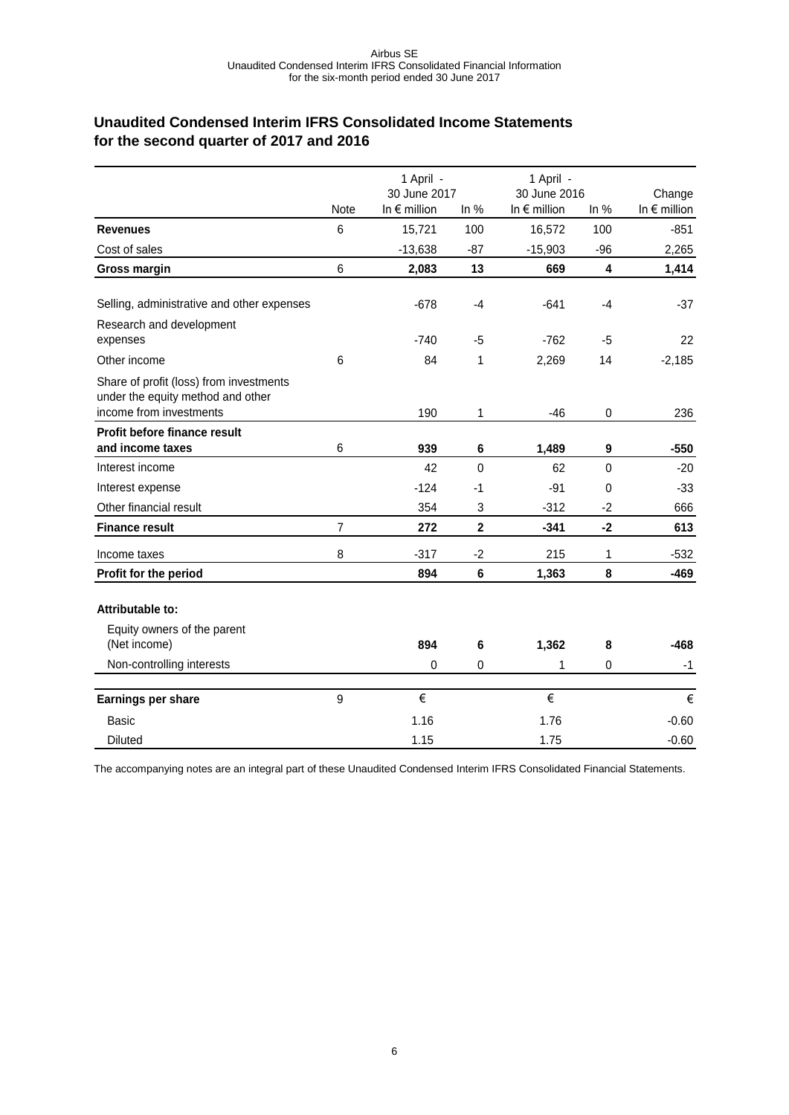# <span id="page-5-0"></span>**Unaudited Condensed Interim IFRS Consolidated Income Statements for the second quarter of 2017 and 2016**

|                                                                                                         | 1 April -       |                                       | 1 April -               |                                       |              |                                 |
|---------------------------------------------------------------------------------------------------------|-----------------|---------------------------------------|-------------------------|---------------------------------------|--------------|---------------------------------|
|                                                                                                         | <b>Note</b>     | 30 June 2017<br>In $\epsilon$ million | In $%$                  | 30 June 2016<br>In $\epsilon$ million | In $%$       | Change<br>In $\epsilon$ million |
| <b>Revenues</b>                                                                                         | $6\phantom{1}6$ | 15,721                                | 100                     | 16,572                                | 100          | $-851$                          |
| Cost of sales                                                                                           |                 | $-13,638$                             | $-87$                   | $-15,903$                             | $-96$        | 2,265                           |
| <b>Gross margin</b>                                                                                     | 6               | 2,083                                 | 13                      | 669                                   | 4            | 1,414                           |
| Selling, administrative and other expenses                                                              |                 | $-678$                                | $-4$                    | $-641$                                | $-4$         | $-37$                           |
| Research and development<br>expenses                                                                    |                 | $-740$                                | $-5$                    | $-762$                                | -5           | 22                              |
| Other income                                                                                            | 6               | 84                                    | 1                       | 2,269                                 | 14           | $-2,185$                        |
| Share of profit (loss) from investments<br>under the equity method and other<br>income from investments |                 | 190                                   | 1                       | $-46$                                 | 0            | 236                             |
| Profit before finance result                                                                            |                 |                                       |                         |                                       |              |                                 |
| and income taxes                                                                                        | 6               | 939                                   | 6                       | 1,489                                 | 9            | $-550$                          |
| Interest income                                                                                         |                 | 42                                    | $\mathbf{0}$            | 62                                    | $\mathbf{0}$ | $-20$                           |
| Interest expense                                                                                        |                 | $-124$                                | $-1$                    | $-91$                                 | 0            | $-33$                           |
| Other financial result                                                                                  |                 | 354                                   | 3                       | $-312$                                | $-2$         | 666                             |
| <b>Finance result</b>                                                                                   | 7               | 272                                   | $\overline{\mathbf{2}}$ | $-341$                                | $-2$         | 613                             |
| Income taxes                                                                                            | 8               | $-317$                                | $-2$                    | 215                                   | 1            | $-532$                          |
| Profit for the period                                                                                   |                 | 894                                   | 6                       | 1,363                                 | 8            | $-469$                          |
| Attributable to:<br>Equity owners of the parent                                                         |                 |                                       |                         |                                       |              |                                 |
| (Net income)                                                                                            |                 | 894                                   | 6                       | 1,362                                 | 8            | $-468$                          |
| Non-controlling interests                                                                               |                 | $\mathbf 0$                           | 0                       | 1                                     | 0            | $-1$                            |
| Earnings per share                                                                                      | 9               | €                                     |                         | €                                     |              | €                               |
| Basic                                                                                                   |                 | 1.16                                  |                         | 1.76                                  |              | $-0.60$                         |
| <b>Diluted</b>                                                                                          |                 | 1.15                                  |                         | 1.75                                  |              | $-0.60$                         |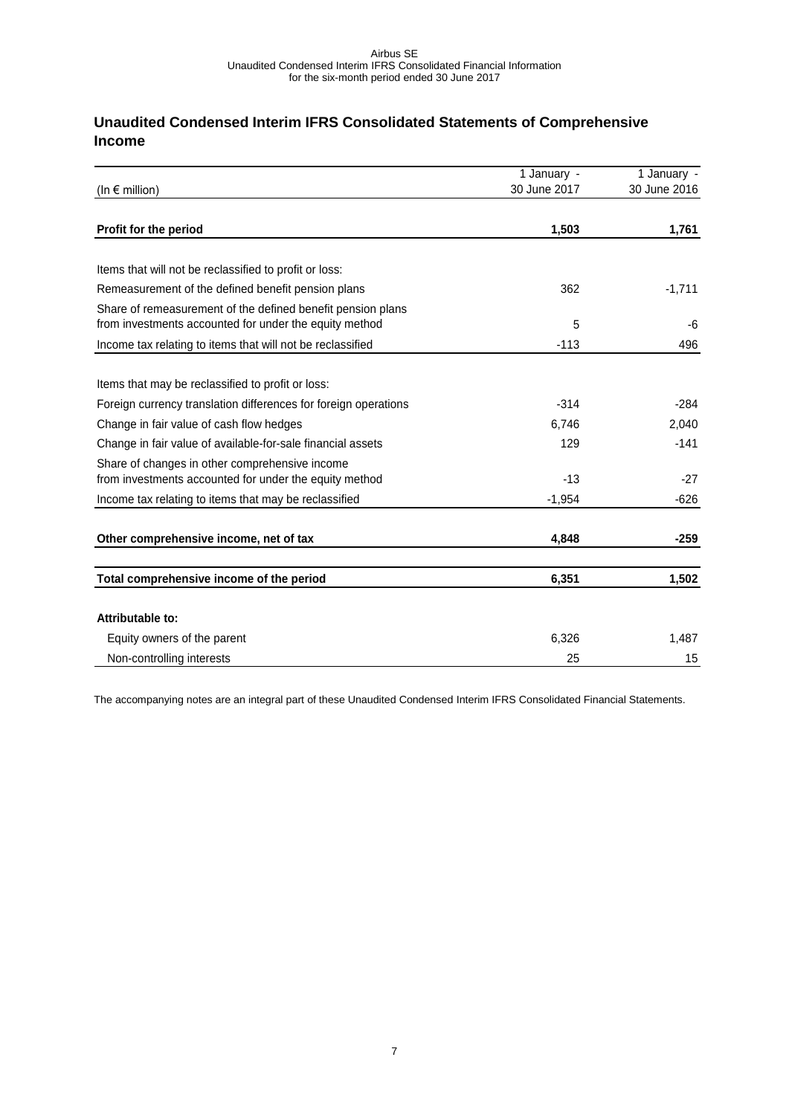# <span id="page-6-0"></span>**Unaudited Condensed Interim IFRS Consolidated Statements of Comprehensive Income**

|                                                                                                                       | 1 January -  | 1 January -  |
|-----------------------------------------------------------------------------------------------------------------------|--------------|--------------|
| (In $\epsilon$ million)                                                                                               | 30 June 2017 | 30 June 2016 |
|                                                                                                                       |              |              |
| Profit for the period                                                                                                 | 1,503        | 1,761        |
| Items that will not be reclassified to profit or loss:                                                                |              |              |
| Remeasurement of the defined benefit pension plans                                                                    | 362          | $-1,711$     |
| Share of remeasurement of the defined benefit pension plans<br>from investments accounted for under the equity method | 5            | -6           |
| Income tax relating to items that will not be reclassified                                                            | $-113$       | 496          |
|                                                                                                                       |              |              |
| Items that may be reclassified to profit or loss:                                                                     |              |              |
| Foreign currency translation differences for foreign operations                                                       | $-314$       | $-284$       |
| Change in fair value of cash flow hedges                                                                              | 6,746        | 2,040        |
| Change in fair value of available-for-sale financial assets                                                           | 129          | $-141$       |
| Share of changes in other comprehensive income<br>from investments accounted for under the equity method              | $-13$        | $-27$        |
| Income tax relating to items that may be reclassified                                                                 | $-1,954$     | $-626$       |
| Other comprehensive income, net of tax                                                                                | 4,848        | $-259$       |
| Total comprehensive income of the period                                                                              | 6,351        | 1,502        |
| Attributable to:                                                                                                      |              |              |
| Equity owners of the parent                                                                                           | 6,326        | 1,487        |
| Non-controlling interests                                                                                             | 25           | 15           |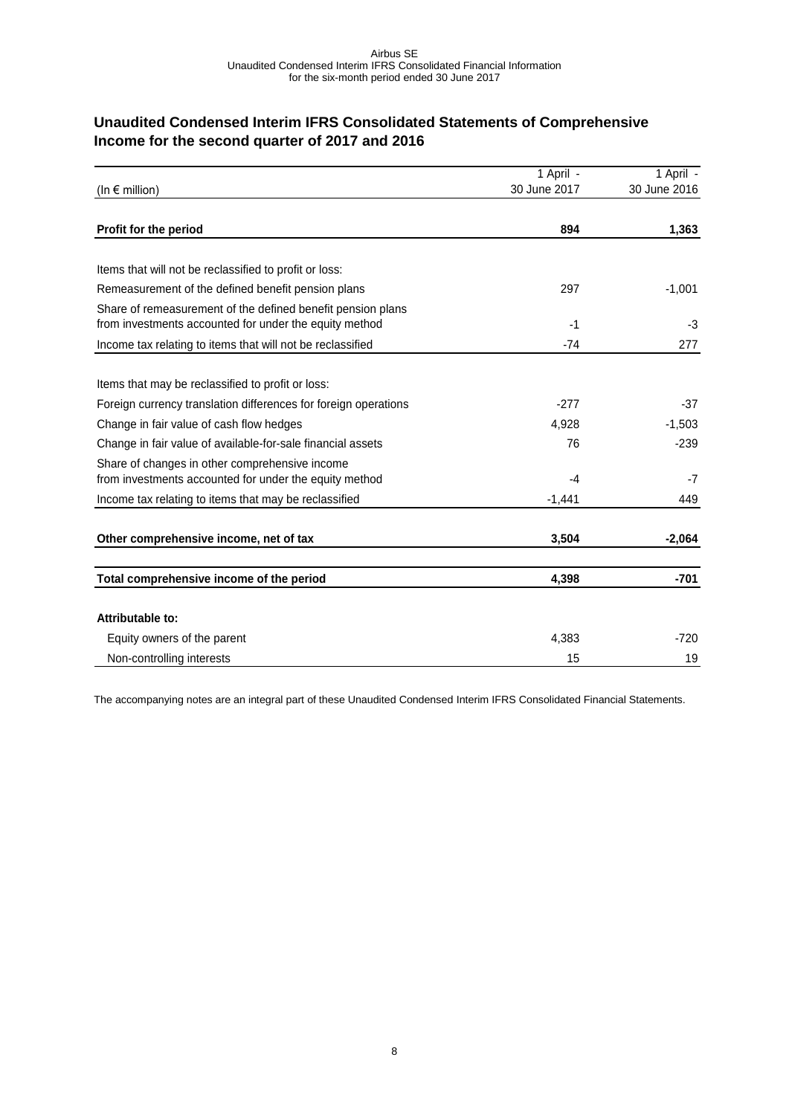# <span id="page-7-0"></span>**Unaudited Condensed Interim IFRS Consolidated Statements of Comprehensive Income for the second quarter of 2017 and 2016**

|                                                                                                                       | 1 April -    | 1 April -    |
|-----------------------------------------------------------------------------------------------------------------------|--------------|--------------|
| (In $\epsilon$ million)                                                                                               | 30 June 2017 | 30 June 2016 |
|                                                                                                                       |              |              |
| Profit for the period                                                                                                 | 894          | 1,363        |
|                                                                                                                       |              |              |
| Items that will not be reclassified to profit or loss:                                                                |              |              |
| Remeasurement of the defined benefit pension plans                                                                    | 297          | $-1,001$     |
| Share of remeasurement of the defined benefit pension plans<br>from investments accounted for under the equity method | $-1$         | -3           |
| Income tax relating to items that will not be reclassified                                                            | $-74$        | 277          |
|                                                                                                                       |              |              |
| Items that may be reclassified to profit or loss:                                                                     |              |              |
| Foreign currency translation differences for foreign operations                                                       | $-277$       | $-37$        |
| Change in fair value of cash flow hedges                                                                              | 4,928        | $-1,503$     |
| Change in fair value of available-for-sale financial assets                                                           | 76           | $-239$       |
| Share of changes in other comprehensive income<br>from investments accounted for under the equity method              | $-4$         | $-7$         |
| Income tax relating to items that may be reclassified                                                                 | $-1,441$     | 449          |
|                                                                                                                       |              |              |
| Other comprehensive income, net of tax                                                                                | 3,504        | $-2,064$     |
|                                                                                                                       |              |              |
| Total comprehensive income of the period                                                                              | 4,398        | $-701$       |
|                                                                                                                       |              |              |
| Attributable to:                                                                                                      |              |              |
| Equity owners of the parent                                                                                           | 4,383        | $-720$       |
| Non-controlling interests                                                                                             | 15           | 19           |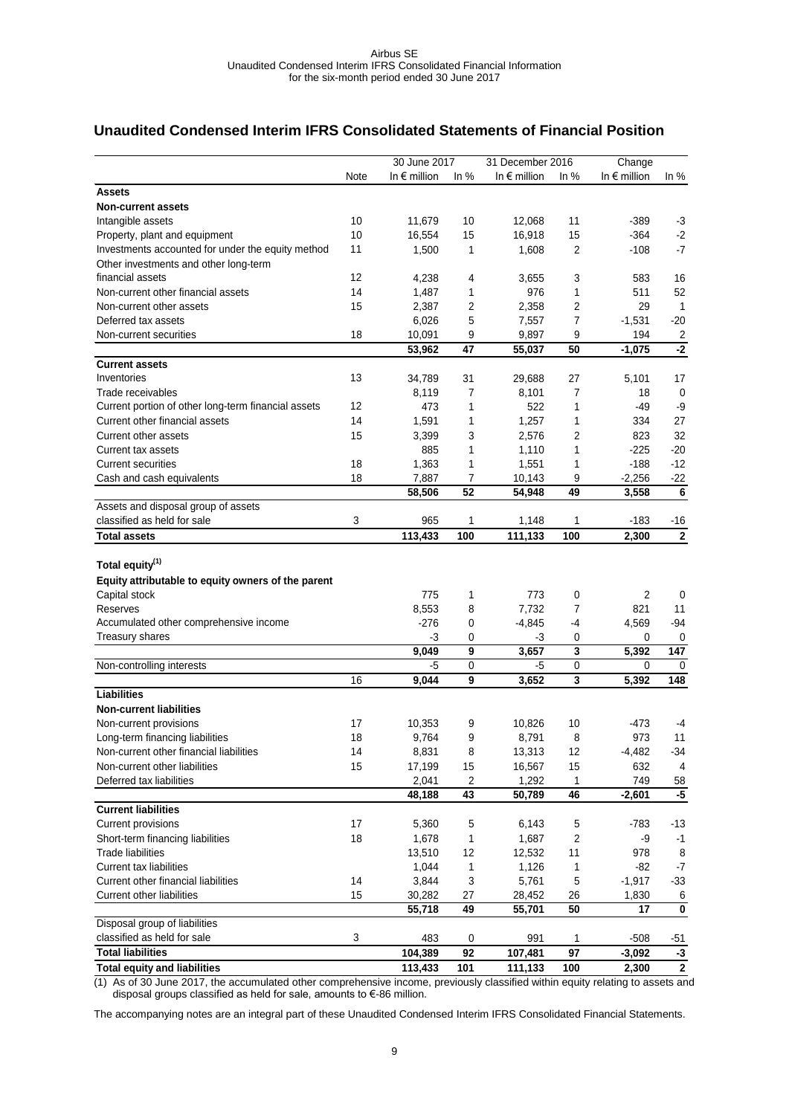## <span id="page-8-0"></span>**Unaudited Condensed Interim IFRS Consolidated Statements of Financial Position**

|                                                     |      | 30 June 2017          |             | 31 December 2016      |                | Change                |                          |
|-----------------------------------------------------|------|-----------------------|-------------|-----------------------|----------------|-----------------------|--------------------------|
|                                                     | Note | In $\epsilon$ million | In $%$      | In $\epsilon$ million | In $%$         | In $\epsilon$ million | In $%$                   |
| <b>Assets</b>                                       |      |                       |             |                       |                |                       |                          |
| <b>Non-current assets</b>                           |      |                       |             |                       |                |                       |                          |
| Intangible assets                                   | 10   | 11,679                | 10          | 12,068                | 11             | $-389$                | $-3$                     |
| Property, plant and equipment                       | 10   | 16,554                | 15          | 16,918                | 15             | $-364$                | $-2$                     |
| Investments accounted for under the equity method   | 11   | 1,500                 | 1           | 1,608                 | 2              | $-108$                | $-7$                     |
| Other investments and other long-term               |      |                       |             |                       |                |                       |                          |
| financial assets                                    | 12   | 4,238                 | 4           | 3,655                 | 3              | 583                   | 16                       |
| Non-current other financial assets                  | 14   | 1,487                 | 1           | 976                   | 1              | 511                   | 52                       |
| Non-current other assets                            | 15   | 2,387                 | 2           | 2,358                 | 2              | 29                    | $\overline{1}$           |
| Deferred tax assets                                 |      | 6,026                 | 5           | 7,557                 | 7              | $-1,531$              | $-20$                    |
| Non-current securities                              | 18   | 10,091                | 9           | 9,897                 | 9              | 194                   | $\overline{c}$           |
|                                                     |      | 53,962                | 47          | 55,037                | 50             | -1,075                | $-2$                     |
| <b>Current assets</b>                               |      |                       |             |                       |                |                       |                          |
| Inventories                                         | 13   | 34,789                | 31          | 29,688                | 27             | 5,101                 | 17                       |
| Trade receivables                                   |      | 8,119                 | 7           | 8,101                 | $\overline{7}$ | 18                    | 0                        |
| Current portion of other long-term financial assets | 12   | 473                   | 1           | 522                   | 1              | -49                   | -9                       |
| Current other financial assets                      | 14   | 1,591                 | 1           | 1,257                 | 1              | 334                   | 27                       |
| Current other assets                                | 15   | 3,399                 | 3           | 2,576                 | 2              | 823                   | 32                       |
| Current tax assets                                  |      | 885                   | 1           | 1,110                 | 1              | $-225$                | $-20$                    |
| <b>Current securities</b>                           | 18   | 1,363                 | 1           | 1,551                 | 1              | $-188$                | $-12$                    |
| Cash and cash equivalents                           | 18   | 7,887                 | 7           | 10,143                | 9              | $-2,256$              | $-22$                    |
|                                                     |      | 58,506                | 52          | 54,948                | 49             | 3,558                 | $6\phantom{1}6$          |
| Assets and disposal group of assets                 |      |                       |             |                       |                |                       |                          |
| classified as held for sale                         | 3    | 965                   | 1           | 1,148                 | 1              | $-183$                | -16                      |
| <b>Total assets</b>                                 |      | 113,433               | 100         | 111.133               | 100            | 2,300                 | $\overline{2}$           |
|                                                     |      |                       |             |                       |                |                       |                          |
| Total equity <sup>(1)</sup>                         |      |                       |             |                       |                |                       |                          |
| Equity attributable to equity owners of the parent  |      |                       |             |                       |                |                       |                          |
| Capital stock                                       |      | 775                   | 1           | 773                   | 0              | 2                     | 0                        |
| Reserves                                            |      | 8,553                 | 8           | 7,732                 | 7              | 821                   | 11                       |
| Accumulated other comprehensive income              |      | $-276$                | 0           | $-4,845$              | -4             | 4,569                 | $-94$                    |
| <b>Treasury shares</b>                              |      | -3                    | 0           | -3                    | 0              | 0                     | 0                        |
|                                                     |      | 9,049                 | 9           | 3,657                 | 3              | 5,392                 | 147                      |
| Non-controlling interests                           |      | -5                    | $\mathbf 0$ | -5                    | $\mathbf 0$    | 0                     | 0                        |
|                                                     | 16   | 9.044                 | 9           | 3,652                 | 3              | 5,392                 | 148                      |
| <b>Liabilities</b>                                  |      |                       |             |                       |                |                       |                          |
| <b>Non-current liabilities</b>                      |      |                       |             |                       |                |                       |                          |
| Non-current provisions                              | 17   | 10,353                | 9           | 10,826                | 10             | -473                  | -4                       |
| Long-term financing liabilities                     | 18   | 9,764                 | 9           | 8,791                 | 8              | 973                   | 11                       |
| Non-current other financial liabilities             | 14   | 8,831                 | 8           | 13,313                | 12             | $-4,482$              | $-34$                    |
| Non-current other liabilities                       | 15   | 17,199                | 15          | 16,567                | 15             | 632                   | 4                        |
| Deferred tax liabilities                            |      | 2,041                 | 2           | 1,292                 | 1              | 749                   | 58                       |
|                                                     |      | 48,188                | 43          | 50,789                | 46             | $-2,601$              | $-5$                     |
| <b>Current liabilities</b>                          |      |                       |             |                       |                |                       |                          |
| <b>Current provisions</b>                           | 17   | 5,360                 | 5           | 6,143                 | 5              | $-783$                | $-13$                    |
| Short-term financing liabilities                    | 18   | 1,678                 | 1           | 1,687                 | $\overline{c}$ | -9                    | $-1$                     |
| <b>Trade liabilities</b>                            |      | 13,510                | 12          | 12,532                | 11             | 978                   | 8                        |
| <b>Current tax liabilities</b>                      |      | 1,044                 | 1           | 1,126                 | 1              | $-82$                 | $-7$                     |
| Current other financial liabilities                 | 14   | 3,844                 | 3           | 5,761                 | $\,$ 5 $\,$    | $-1,917$              | $-33$                    |
| <b>Current other liabilities</b>                    | 15   | 30,282                | 27          | 28,452                | 26             | 1,830                 | 6                        |
| Disposal group of liabilities                       |      | 55,718                | 49          | 55,701                | 50             | 17                    | $\mathbf 0$              |
| classified as held for sale                         | 3    | 483                   | 0           | 991                   | 1              | $-508$                | -51                      |
| <b>Total liabilities</b>                            |      | 104,389               | 92          | 107,481               | 97             | $-3,092$              |                          |
| <b>Total equity and liabilities</b>                 |      | 113,433               | 101         | 111,133               | 100            | 2,300                 | $-3$<br>$\boldsymbol{2}$ |
|                                                     |      |                       |             |                       |                |                       |                          |

(1) As of 30 June 2017, the accumulated other comprehensive income, previously classified within equity relating to assets and disposal groups classified as held for sale, amounts to €-86 million.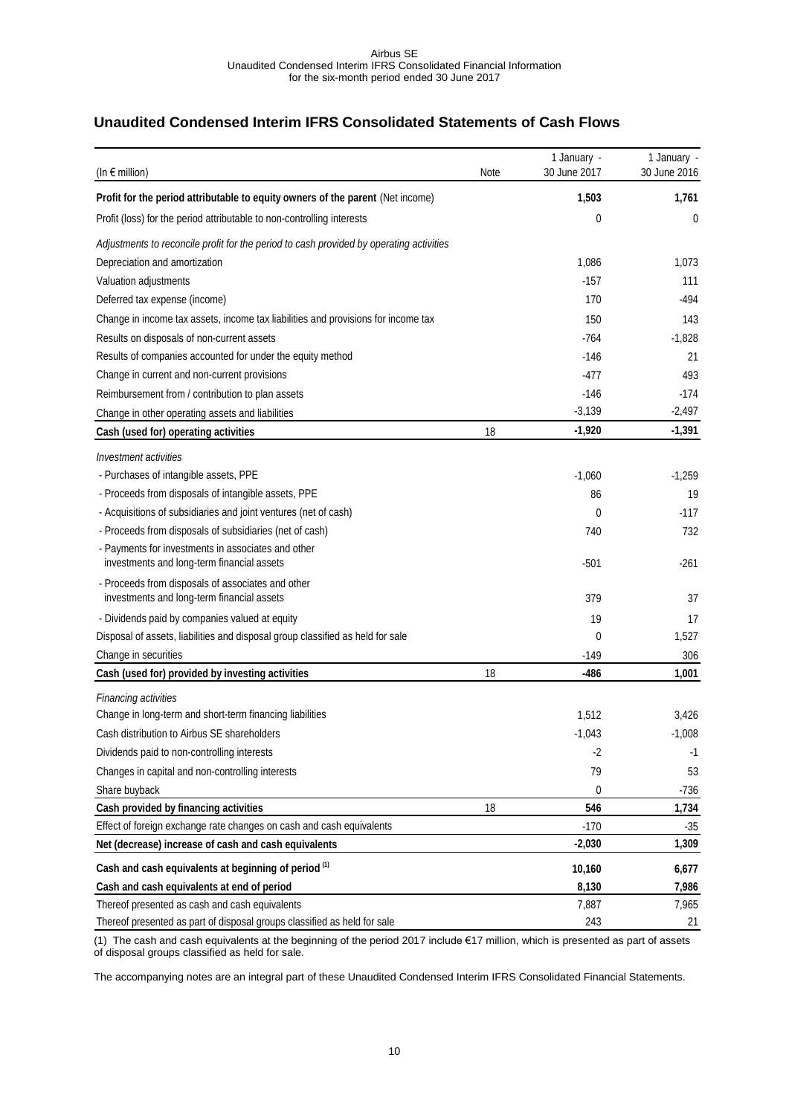# <span id="page-9-0"></span>**Unaudited Condensed Interim IFRS Consolidated Statements of Cash Flows**

| (In $\epsilon$ million)                                                                          | Note | 1 January -<br>30 June 2017 | 1 January -<br>30 June 2016 |
|--------------------------------------------------------------------------------------------------|------|-----------------------------|-----------------------------|
| Profit for the period attributable to equity owners of the parent (Net income)                   |      | 1,503                       | 1,761                       |
| Profit (loss) for the period attributable to non-controlling interests                           |      | 0                           | 0                           |
| Adjustments to reconcile profit for the period to cash provided by operating activities          |      |                             |                             |
| Depreciation and amortization                                                                    |      | 1,086                       | 1,073                       |
| Valuation adjustments                                                                            |      | $-157$                      | 111                         |
| Deferred tax expense (income)                                                                    |      | 170                         | $-494$                      |
| Change in income tax assets, income tax liabilities and provisions for income tax                |      | 150                         | 143                         |
| Results on disposals of non-current assets                                                       |      | -764                        | $-1,828$                    |
| Results of companies accounted for under the equity method                                       |      | $-146$                      | 21                          |
| Change in current and non-current provisions                                                     |      | -477                        | 493                         |
| Reimbursement from / contribution to plan assets                                                 |      | $-146$                      | $-174$                      |
| Change in other operating assets and liabilities                                                 |      | $-3,139$                    | $-2,497$                    |
| Cash (used for) operating activities                                                             | 18   | $-1,920$                    | $-1,391$                    |
| <i><b>Investment activities</b></i>                                                              |      |                             |                             |
| - Purchases of intangible assets, PPE                                                            |      | $-1,060$                    | $-1,259$                    |
| - Proceeds from disposals of intangible assets, PPE                                              |      | 86                          | 19                          |
| - Acquisitions of subsidiaries and joint ventures (net of cash)                                  |      | 0                           | $-117$                      |
| - Proceeds from disposals of subsidiaries (net of cash)                                          |      | 740                         | 732                         |
| - Payments for investments in associates and other<br>investments and long-term financial assets |      | $-501$                      | $-261$                      |
| - Proceeds from disposals of associates and other<br>investments and long-term financial assets  |      | 379                         | 37                          |
| - Dividends paid by companies valued at equity                                                   |      | 19                          | 17                          |
| Disposal of assets, liabilities and disposal group classified as held for sale                   |      | 0                           | 1,527                       |
| Change in securities                                                                             |      | $-149$                      | 306                         |
| Cash (used for) provided by investing activities                                                 | 18   | $-486$                      | 1,001                       |
| <b>Financing activities</b>                                                                      |      |                             |                             |
| Change in long-term and short-term financing liabilities                                         |      | 1,512                       | 3,426                       |
| Cash distribution to Airbus SE shareholders                                                      |      | $-1,043$                    | $-1,008$                    |
| Dividends paid to non-controlling interests                                                      |      | -2                          | -1                          |
| Changes in capital and non-controlling interests                                                 |      | 79                          | 53                          |
| Share buyback                                                                                    |      | 0                           | $-736$                      |
| Cash provided by financing activities                                                            | 18   | 546                         | 1,734                       |
| Effect of foreign exchange rate changes on cash and cash equivalents                             |      | $-170$                      | $-35$                       |
| Net (decrease) increase of cash and cash equivalents                                             |      | $-2,030$                    | 1,309                       |
| Cash and cash equivalents at beginning of period (1)                                             |      | 10,160                      | 6,677                       |
| Cash and cash equivalents at end of period                                                       |      | 8,130                       | 7,986                       |
| Thereof presented as cash and cash equivalents                                                   |      | 7,887                       | 7,965                       |
| Thereof presented as part of disposal groups classified as held for sale                         |      | 243                         | 21                          |

(1) The cash and cash equivalents at the beginning of the period 2017 include €17 million, which is presented as part of assets of disposal groups classified as held for sale.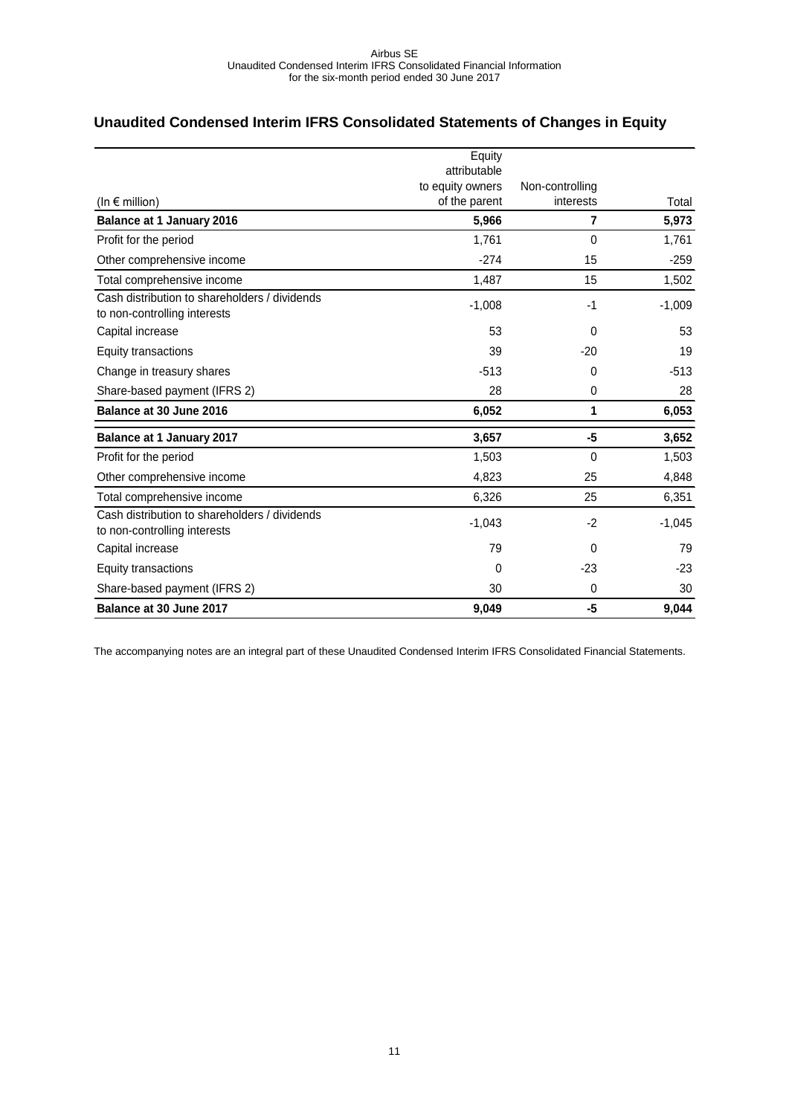# <span id="page-10-0"></span>**Unaudited Condensed Interim IFRS Consolidated Statements of Changes in Equity**

|                                               | Equity                            |                              |          |
|-----------------------------------------------|-----------------------------------|------------------------------|----------|
|                                               | attributable                      |                              |          |
|                                               | to equity owners<br>of the parent | Non-controlling<br>interests | Total    |
| (In $\epsilon$ million)                       |                                   |                              |          |
| <b>Balance at 1 January 2016</b>              | 5,966                             | $\overline{7}$               | 5,973    |
| Profit for the period                         | 1.761                             | $\Omega$                     | 1,761    |
| Other comprehensive income                    | $-274$                            | 15                           | $-259$   |
| Total comprehensive income                    | 1,487                             | 15                           | 1,502    |
| Cash distribution to shareholders / dividends | $-1,008$                          | $-1$                         | $-1,009$ |
| to non-controlling interests                  |                                   |                              |          |
| Capital increase                              | 53                                | $\Omega$                     | 53       |
| Equity transactions                           | 39                                | $-20$                        | 19       |
| Change in treasury shares                     | $-513$                            | 0                            | $-513$   |
| Share-based payment (IFRS 2)                  | 28                                | 0                            | 28       |
| Balance at 30 June 2016                       | 6,052                             | 1                            | 6,053    |
| <b>Balance at 1 January 2017</b>              | 3,657                             | -5                           | 3,652    |
| Profit for the period                         | 1,503                             | $\mathbf 0$                  | 1,503    |
| Other comprehensive income                    | 4,823                             | 25                           | 4,848    |
| Total comprehensive income                    | 6,326                             | 25                           | 6,351    |
| Cash distribution to shareholders / dividends | $-1,043$                          | $-2$                         | $-1,045$ |
| to non-controlling interests                  |                                   |                              |          |
| Capital increase                              | 79                                | $\Omega$                     | 79       |
| Equity transactions                           | $\mathbf{0}$                      | $-23$                        | $-23$    |
| Share-based payment (IFRS 2)                  | 30                                | $\mathbf 0$                  | 30       |
| Balance at 30 June 2017                       | 9,049                             | -5                           | 9,044    |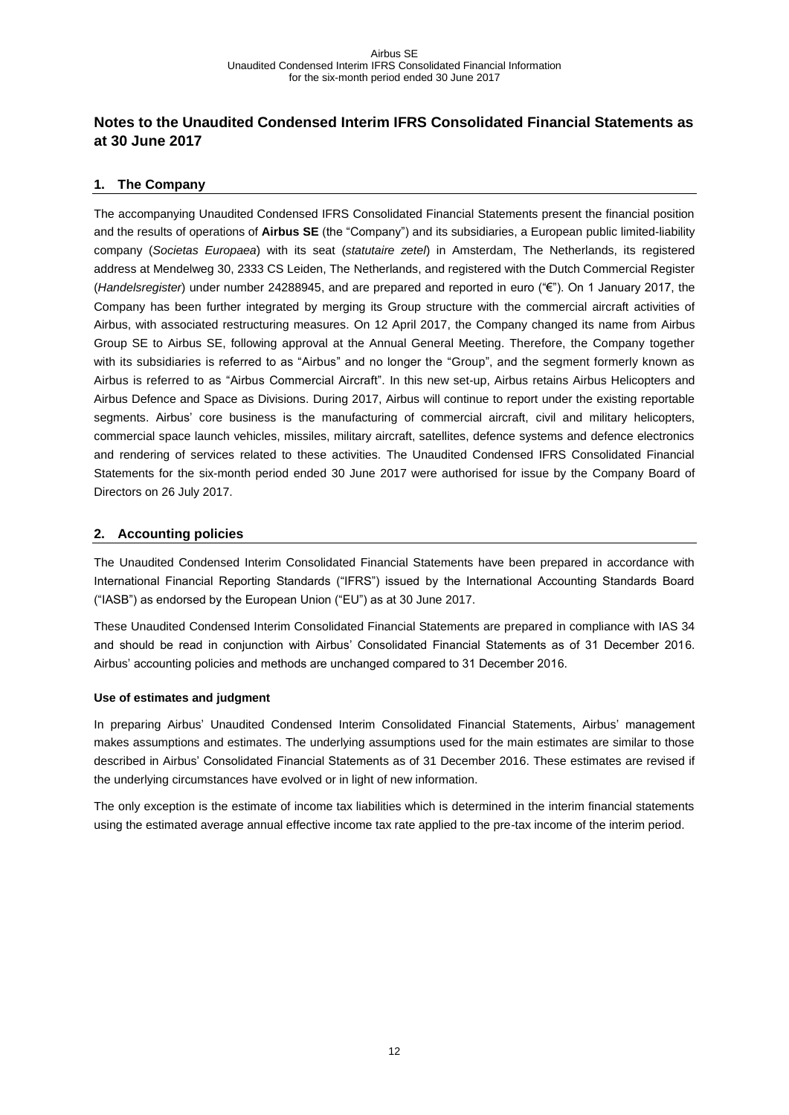# <span id="page-11-0"></span>**Notes to the Unaudited Condensed Interim IFRS Consolidated Financial Statements as at 30 June 2017**

## <span id="page-11-1"></span>**1. The Company**

The accompanying Unaudited Condensed IFRS Consolidated Financial Statements present the financial position and the results of operations of **Airbus SE** (the "Company") and its subsidiaries, a European public limited-liability company (*Societas Europaea*) with its seat (*statutaire zetel*) in Amsterdam, The Netherlands, its registered address at Mendelweg 30, 2333 CS Leiden, The Netherlands, and registered with the Dutch Commercial Register (*Handelsregister*) under number 24288945, and are prepared and reported in euro ("€"). On 1 January 2017, the Company has been further integrated by merging its Group structure with the commercial aircraft activities of Airbus, with associated restructuring measures. On 12 April 2017, the Company changed its name from Airbus Group SE to Airbus SE, following approval at the Annual General Meeting. Therefore, the Company together with its subsidiaries is referred to as "Airbus" and no longer the "Group", and the segment formerly known as Airbus is referred to as "Airbus Commercial Aircraft". In this new set-up, Airbus retains Airbus Helicopters and Airbus Defence and Space as Divisions. During 2017, Airbus will continue to report under the existing reportable segments. Airbus' core business is the manufacturing of commercial aircraft, civil and military helicopters, commercial space launch vehicles, missiles, military aircraft, satellites, defence systems and defence electronics and rendering of services related to these activities. The Unaudited Condensed IFRS Consolidated Financial Statements for the six-month period ended 30 June 2017 were authorised for issue by the Company Board of Directors on 26 July 2017.

## <span id="page-11-2"></span>**2. Accounting policies**

The Unaudited Condensed Interim Consolidated Financial Statements have been prepared in accordance with International Financial Reporting Standards ("IFRS") issued by the International Accounting Standards Board ("IASB") as endorsed by the European Union ("EU") as at 30 June 2017.

These Unaudited Condensed Interim Consolidated Financial Statements are prepared in compliance with IAS 34 and should be read in conjunction with Airbus' Consolidated Financial Statements as of 31 December 2016. Airbus' accounting policies and methods are unchanged compared to 31 December 2016.

## **Use of estimates and judgment**

In preparing Airbus' Unaudited Condensed Interim Consolidated Financial Statements, Airbus' management makes assumptions and estimates. The underlying assumptions used for the main estimates are similar to those described in Airbus' Consolidated Financial Statements as of 31 December 2016. These estimates are revised if the underlying circumstances have evolved or in light of new information.

The only exception is the estimate of income tax liabilities which is determined in the interim financial statements using the estimated average annual effective income tax rate applied to the pre-tax income of the interim period.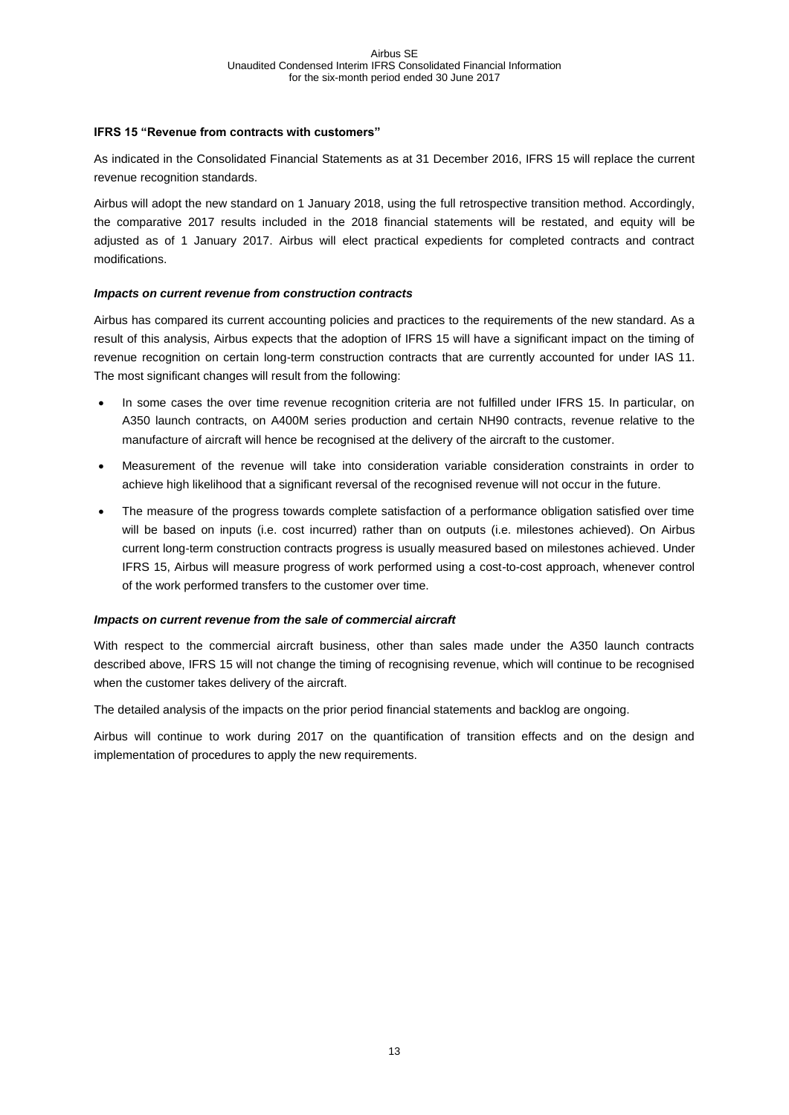#### **IFRS 15 "Revenue from contracts with customers"**

As indicated in the Consolidated Financial Statements as at 31 December 2016, IFRS 15 will replace the current revenue recognition standards.

Airbus will adopt the new standard on 1 January 2018, using the full retrospective transition method. Accordingly, the comparative 2017 results included in the 2018 financial statements will be restated, and equity will be adjusted as of 1 January 2017. Airbus will elect practical expedients for completed contracts and contract modifications.

#### *Impacts on current revenue from construction contracts*

Airbus has compared its current accounting policies and practices to the requirements of the new standard. As a result of this analysis, Airbus expects that the adoption of IFRS 15 will have a significant impact on the timing of revenue recognition on certain long-term construction contracts that are currently accounted for under IAS 11. The most significant changes will result from the following:

- In some cases the over time revenue recognition criteria are not fulfilled under IFRS 15. In particular, on A350 launch contracts, on A400M series production and certain NH90 contracts, revenue relative to the manufacture of aircraft will hence be recognised at the delivery of the aircraft to the customer.
- Measurement of the revenue will take into consideration variable consideration constraints in order to achieve high likelihood that a significant reversal of the recognised revenue will not occur in the future.
- The measure of the progress towards complete satisfaction of a performance obligation satisfied over time will be based on inputs (i.e. cost incurred) rather than on outputs (i.e. milestones achieved). On Airbus current long-term construction contracts progress is usually measured based on milestones achieved. Under IFRS 15, Airbus will measure progress of work performed using a cost-to-cost approach, whenever control of the work performed transfers to the customer over time.

#### *Impacts on current revenue from the sale of commercial aircraft*

With respect to the commercial aircraft business, other than sales made under the A350 launch contracts described above, IFRS 15 will not change the timing of recognising revenue, which will continue to be recognised when the customer takes delivery of the aircraft.

The detailed analysis of the impacts on the prior period financial statements and backlog are ongoing.

Airbus will continue to work during 2017 on the quantification of transition effects and on the design and implementation of procedures to apply the new requirements.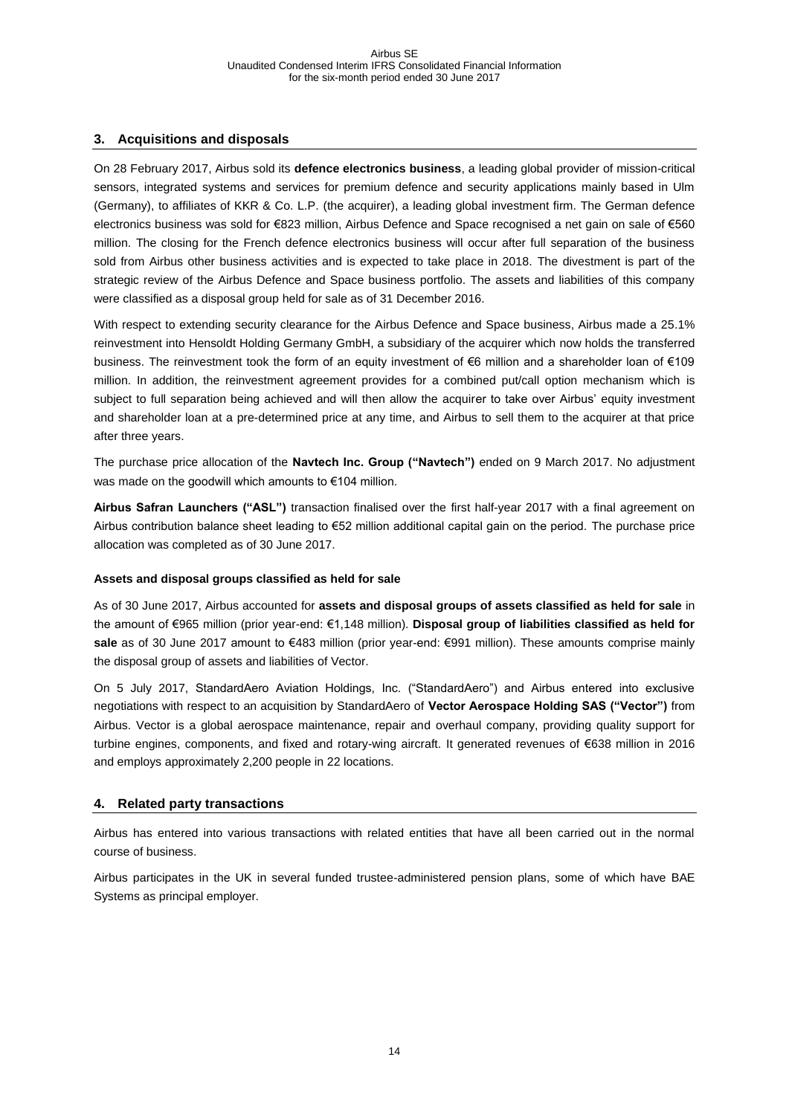## <span id="page-13-0"></span>**3. Acquisitions and disposals**

On 28 February 2017, Airbus sold its **defence electronics business**, a leading global provider of mission-critical sensors, integrated systems and services for premium defence and security applications mainly based in Ulm (Germany), to affiliates of KKR & Co. L.P. (the acquirer), a leading global investment firm. The German defence electronics business was sold for €823 million, Airbus Defence and Space recognised a net gain on sale of €560 million. The closing for the French defence electronics business will occur after full separation of the business sold from Airbus other business activities and is expected to take place in 2018. The divestment is part of the strategic review of the Airbus Defence and Space business portfolio. The assets and liabilities of this company were classified as a disposal group held for sale as of 31 December 2016.

With respect to extending security clearance for the Airbus Defence and Space business, Airbus made a 25.1% reinvestment into Hensoldt Holding Germany GmbH, a subsidiary of the acquirer which now holds the transferred business. The reinvestment took the form of an equity investment of €6 million and a shareholder loan of €109 million. In addition, the reinvestment agreement provides for a combined put/call option mechanism which is subject to full separation being achieved and will then allow the acquirer to take over Airbus' equity investment and shareholder loan at a pre-determined price at any time, and Airbus to sell them to the acquirer at that price after three years.

The purchase price allocation of the **Navtech Inc. Group ("Navtech")** ended on 9 March 2017. No adjustment was made on the goodwill which amounts to €104 million.

**Airbus Safran Launchers ("ASL")** transaction finalised over the first half-year 2017 with a final agreement on Airbus contribution balance sheet leading to €52 million additional capital gain on the period. The purchase price allocation was completed as of 30 June 2017.

#### **Assets and disposal groups classified as held for sale**

As of 30 June 2017, Airbus accounted for **assets and disposal groups of assets classified as held for sale** in the amount of €965 million (prior year-end: €1,148 million). **Disposal group of liabilities classified as held for**  sale as of 30 June 2017 amount to €483 million (prior year-end: €991 million). These amounts comprise mainly the disposal group of assets and liabilities of Vector.

On 5 July 2017, StandardAero Aviation Holdings, Inc. ("StandardAero") and Airbus entered into exclusive negotiations with respect to an acquisition by StandardAero of **Vector Aerospace Holding SAS ("Vector")** from Airbus. Vector is a global aerospace maintenance, repair and overhaul company, providing quality support for turbine engines, components, and fixed and rotary-wing aircraft. It generated revenues of €638 million in 2016 and employs approximately 2,200 people in 22 locations.

#### <span id="page-13-1"></span>**4. Related party transactions**

Airbus has entered into various transactions with related entities that have all been carried out in the normal course of business.

Airbus participates in the UK in several funded trustee-administered pension plans, some of which have BAE Systems as principal employer.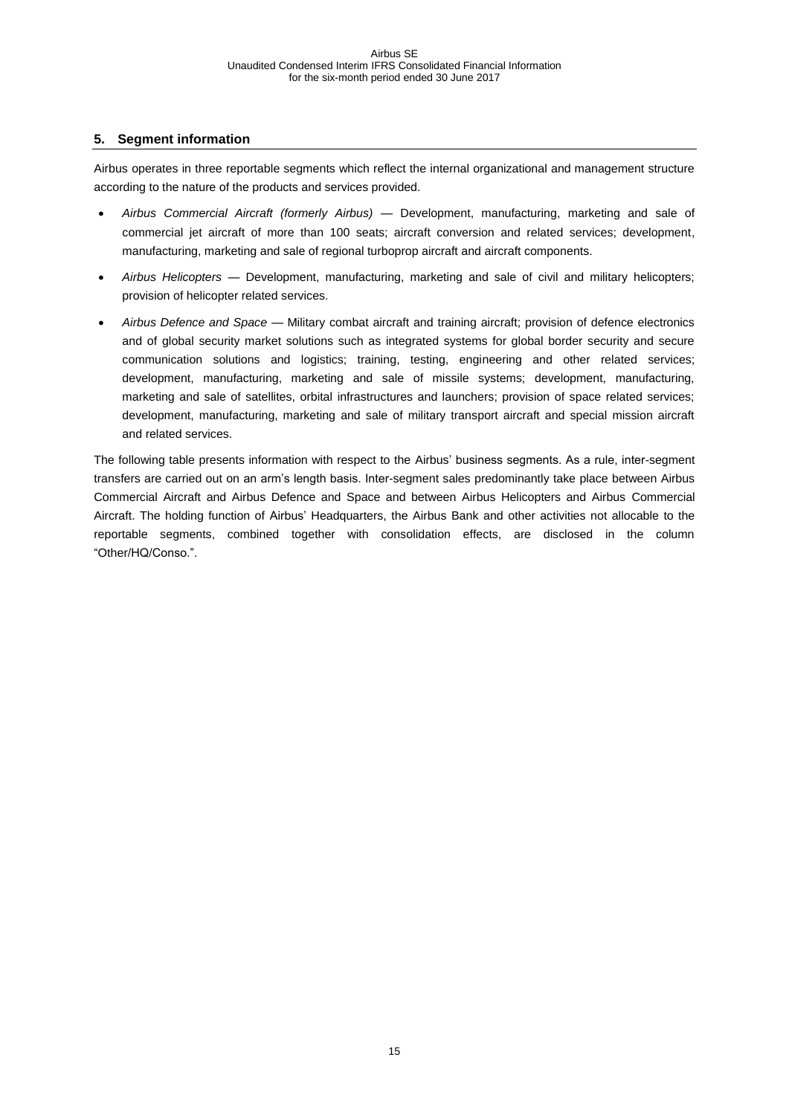## <span id="page-14-0"></span>**5. Segment information**

Airbus operates in three reportable segments which reflect the internal organizational and management structure according to the nature of the products and services provided.

- *Airbus Commercial Aircraft (formerly Airbus) —* Development, manufacturing, marketing and sale of commercial jet aircraft of more than 100 seats; aircraft conversion and related services; development, manufacturing, marketing and sale of regional turboprop aircraft and aircraft components.
- *Airbus Helicopters —* Development, manufacturing, marketing and sale of civil and military helicopters; provision of helicopter related services.
- *Airbus Defence and Space —* Military combat aircraft and training aircraft; provision of defence electronics and of global security market solutions such as integrated systems for global border security and secure communication solutions and logistics; training, testing, engineering and other related services; development, manufacturing, marketing and sale of missile systems; development, manufacturing, marketing and sale of satellites, orbital infrastructures and launchers; provision of space related services; development, manufacturing, marketing and sale of military transport aircraft and special mission aircraft and related services.

The following table presents information with respect to the Airbus' business segments. As a rule, inter-segment transfers are carried out on an arm's length basis. Inter-segment sales predominantly take place between Airbus Commercial Aircraft and Airbus Defence and Space and between Airbus Helicopters and Airbus Commercial Aircraft. The holding function of Airbus' Headquarters, the Airbus Bank and other activities not allocable to the reportable segments, combined together with consolidation effects, are disclosed in the column "Other/HQ/Conso.".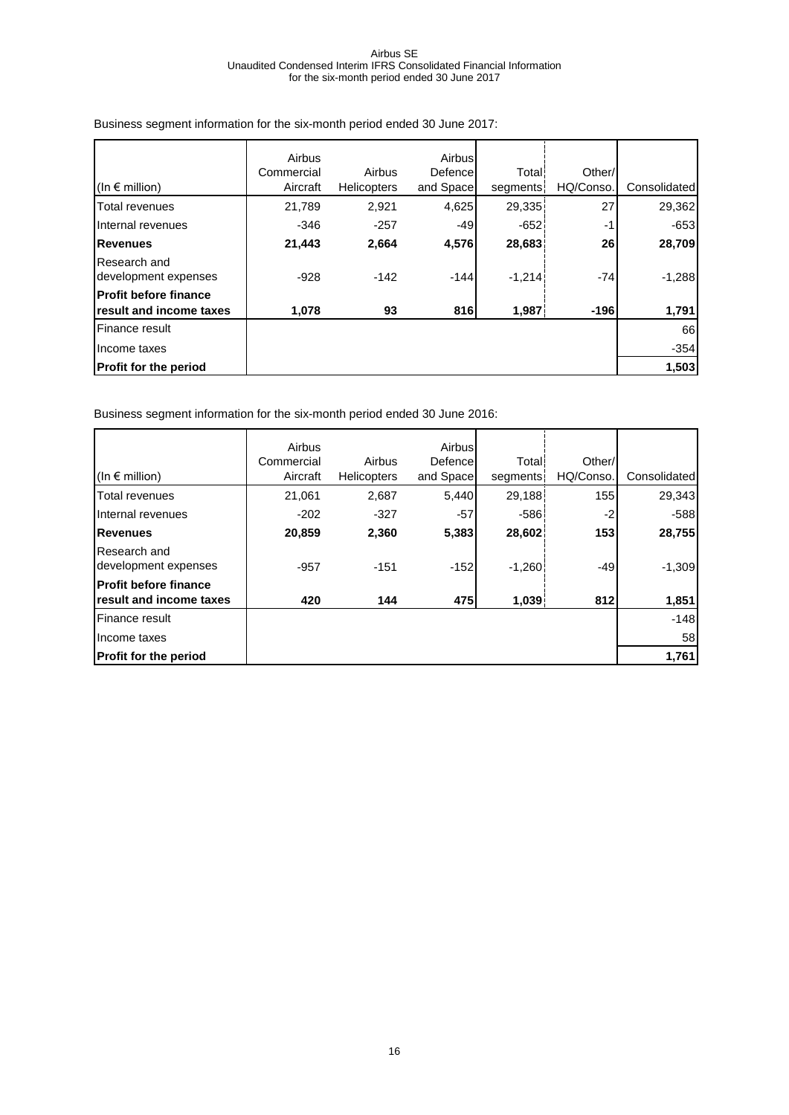|                                      | Airbus     |                    | Airbus    |          |           |              |
|--------------------------------------|------------|--------------------|-----------|----------|-----------|--------------|
|                                      | Commercial | Airbus             | Defence   | Total!   | Other/    |              |
| (In $\epsilon$ million)              | Aircraft   | <b>Helicopters</b> | and Space | segments | HQ/Conso. | Consolidated |
| Total revenues                       | 21,789     | 2,921              | 4,625     | 29,335   | 27        | 29,362       |
| Internal revenues                    | $-346$     | $-257$             | $-49$     | $-652$   | -1        | $-653$       |
| <b>Revenues</b>                      | 21,443     | 2,664              | 4,576     | 28,683   | 26        | 28,709       |
| Research and<br>development expenses | $-928$     | $-142$             | $-144$    | $-1,214$ | $-74$     | $-1,288$     |
| <b>Profit before finance</b>         |            |                    |           |          |           |              |
| result and income taxes              | 1,078      | 93                 | 816       | 1,987    | $-196$    | 1,791        |
| Finance result                       |            |                    |           |          |           | 66           |
| Income taxes                         |            |                    |           |          |           | $-354$       |
| <b>Profit for the period</b>         |            |                    |           |          |           | 1,503        |

Business segment information for the six-month period ended 30 June 2017:

Business segment information for the six-month period ended 30 June 2016:

|                                                                 | Airbus     |                    | Airbus    |              |           |              |
|-----------------------------------------------------------------|------------|--------------------|-----------|--------------|-----------|--------------|
|                                                                 | Commercial | Airbus             | Defence   | <b>Total</b> | Other/    |              |
| (In $\epsilon$ million)                                         | Aircraft   | <b>Helicopters</b> | and Space | segments     | HQ/Conso. | Consolidated |
| Total revenues                                                  | 21,061     | 2,687              | 5,440     | 29,188       | 155       | 29,343       |
| Internal revenues                                               | $-202$     | $-327$             | $-57$     | $-586$       | -2        | $-588$       |
| <b>Revenues</b>                                                 | 20,859     | 2,360              | 5,383     | 28,602       | 153       | 28,755       |
| Research and<br>development expenses                            | $-957$     | $-151$             | $-152$    | $-1,260$     | $-49$     | $-1,309$     |
| <b>Profit before finance</b><br><b>Iresult and income taxes</b> | 420        | 144                | 475       | 1,039        | 812       | 1,851        |
| Finance result                                                  |            |                    |           |              |           | $-148$       |
| Income taxes                                                    |            |                    |           |              |           | 58           |
|                                                                 |            |                    |           |              |           |              |
| <b>Profit for the period</b>                                    |            |                    |           |              |           | 1,761        |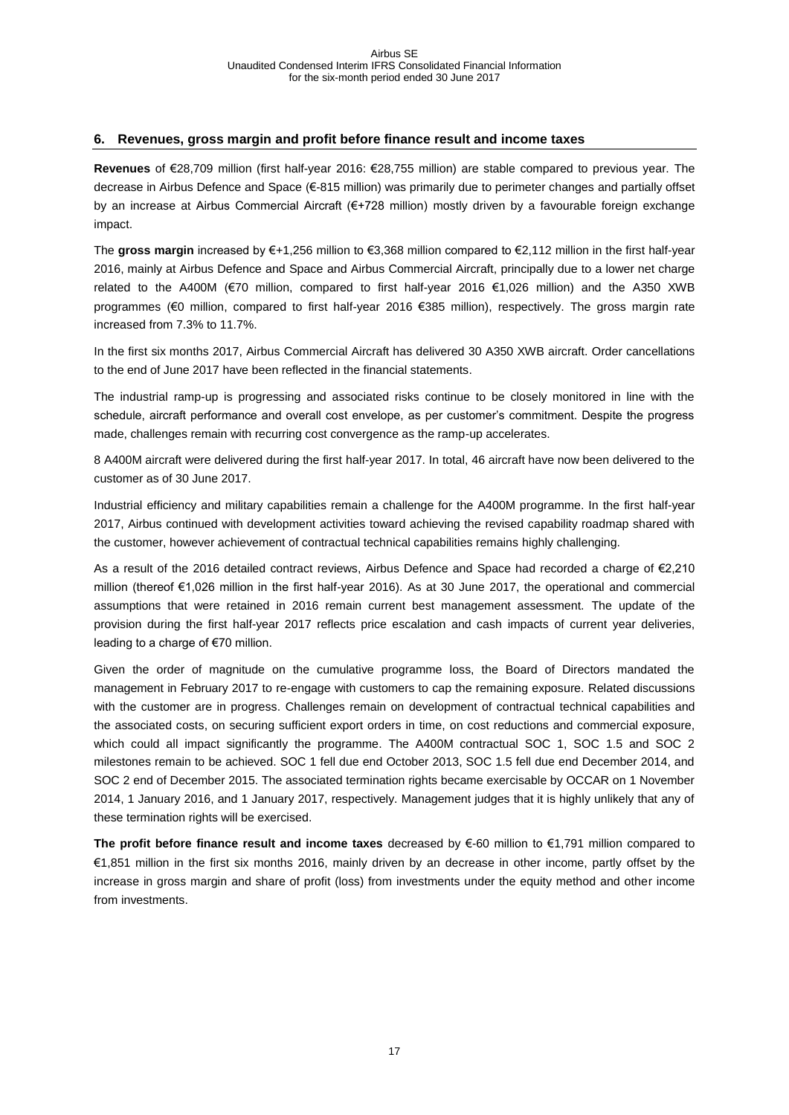#### <span id="page-16-0"></span>**6. Revenues, gross margin and profit before finance result and income taxes**

**Revenues** of €28,709 million (first half-year 2016: €28,755 million) are stable compared to previous year. The decrease in Airbus Defence and Space (€-815 million) was primarily due to perimeter changes and partially offset by an increase at Airbus Commercial Aircraft (€+728 million) mostly driven by a favourable foreign exchange impact.

The **gross margin** increased by €+1,256 million to €3,368 million compared to €2,112 million in the first half-year 2016, mainly at Airbus Defence and Space and Airbus Commercial Aircraft, principally due to a lower net charge related to the A400M (€70 million, compared to first half-year 2016 €1,026 million) and the A350 XWB programmes (€0 million, compared to first half-year 2016 €385 million), respectively. The gross margin rate increased from 7.3% to 11.7%.

In the first six months 2017, Airbus Commercial Aircraft has delivered 30 A350 XWB aircraft. Order cancellations to the end of June 2017 have been reflected in the financial statements.

The industrial ramp-up is progressing and associated risks continue to be closely monitored in line with the schedule, aircraft performance and overall cost envelope, as per customer's commitment. Despite the progress made, challenges remain with recurring cost convergence as the ramp-up accelerates.

8 A400M aircraft were delivered during the first half-year 2017. In total, 46 aircraft have now been delivered to the customer as of 30 June 2017.

Industrial efficiency and military capabilities remain a challenge for the A400M programme. In the first half-year 2017, Airbus continued with development activities toward achieving the revised capability roadmap shared with the customer, however achievement of contractual technical capabilities remains highly challenging.

As a result of the 2016 detailed contract reviews, Airbus Defence and Space had recorded a charge of €2,210 million (thereof €1,026 million in the first half-year 2016). As at 30 June 2017, the operational and commercial assumptions that were retained in 2016 remain current best management assessment. The update of the provision during the first half-year 2017 reflects price escalation and cash impacts of current year deliveries, leading to a charge of €70 million.

Given the order of magnitude on the cumulative programme loss, the Board of Directors mandated the management in February 2017 to re-engage with customers to cap the remaining exposure. Related discussions with the customer are in progress. Challenges remain on development of contractual technical capabilities and the associated costs, on securing sufficient export orders in time, on cost reductions and commercial exposure, which could all impact significantly the programme. The A400M contractual SOC 1, SOC 1.5 and SOC 2 milestones remain to be achieved. SOC 1 fell due end October 2013, SOC 1.5 fell due end December 2014, and SOC 2 end of December 2015. The associated termination rights became exercisable by OCCAR on 1 November 2014, 1 January 2016, and 1 January 2017, respectively. Management judges that it is highly unlikely that any of these termination rights will be exercised.

**The profit before finance result and income taxes** decreased by €-60 million to €1,791 million compared to €1,851 million in the first six months 2016, mainly driven by an decrease in other income, partly offset by the increase in gross margin and share of profit (loss) from investments under the equity method and other income from investments.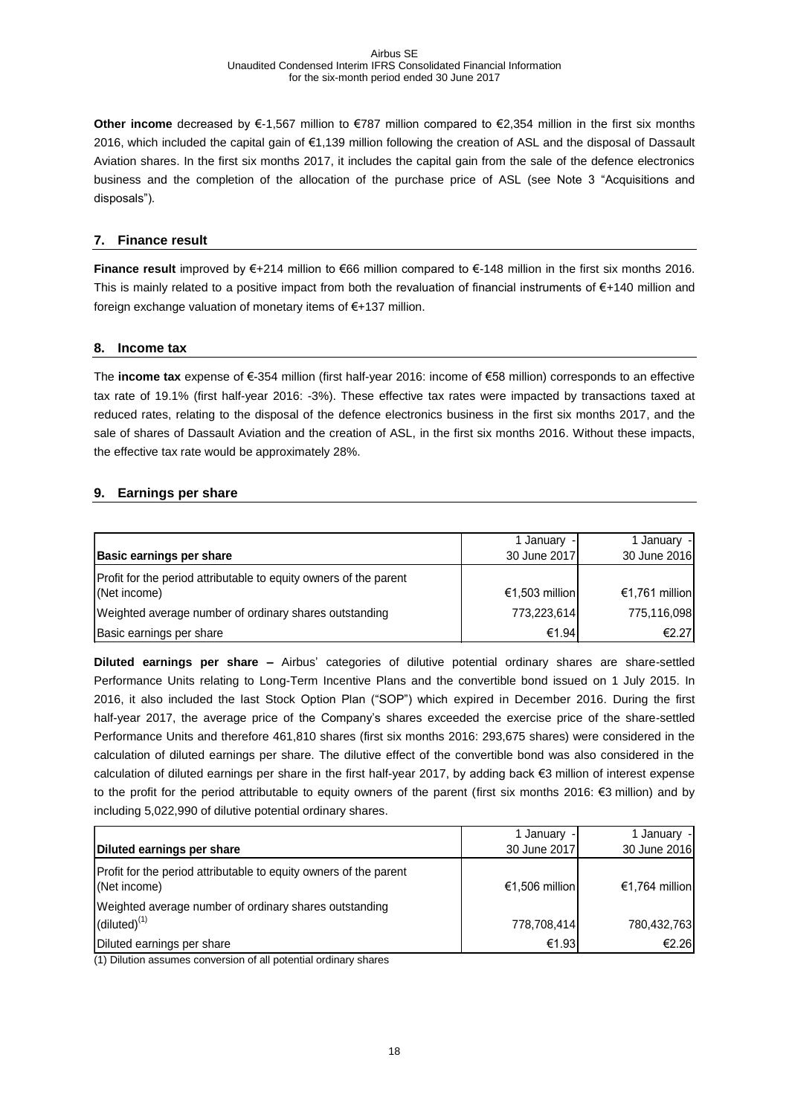**Other income** decreased by €-1,567 million to €787 million compared to €2,354 million in the first six months 2016, which included the capital gain of €1,139 million following the creation of ASL and the disposal of Dassault Aviation shares. In the first six months 2017, it includes the capital gain from the sale of the defence electronics business and the completion of the allocation of the purchase price of ASL (see Note 3 "Acquisitions and disposals").

#### <span id="page-17-0"></span>**7. Finance result**

**Finance result** improved by €+214 million to €66 million compared to €-148 million in the first six months 2016. This is mainly related to a positive impact from both the revaluation of financial instruments of €+140 million and foreign exchange valuation of monetary items of €+137 million.

#### <span id="page-17-1"></span>**8. Income tax**

The **income tax** expense of €-354 million (first half-year 2016: income of €58 million) corresponds to an effective tax rate of 19.1% (first half-year 2016: -3%). These effective tax rates were impacted by transactions taxed at reduced rates, relating to the disposal of the defence electronics business in the first six months 2017, and the sale of shares of Dassault Aviation and the creation of ASL, in the first six months 2016. Without these impacts, the effective tax rate would be approximately 28%.

## <span id="page-17-2"></span>**9. Earnings per share**

| <b>Basic earnings per share</b>                                                   | 1 January -<br>30 June 2017 | 1 January -<br>30 June 2016 |
|-----------------------------------------------------------------------------------|-----------------------------|-----------------------------|
| Profit for the period attributable to equity owners of the parent<br>(Net income) | €1,503 million              | €1,761 million              |
| Weighted average number of ordinary shares outstanding                            | 773,223,614                 | 775,116,098                 |
| Basic earnings per share                                                          | €1.94                       | €2.27                       |

**Diluted earnings per share –** Airbus' categories of dilutive potential ordinary shares are share-settled Performance Units relating to Long-Term Incentive Plans and the convertible bond issued on 1 July 2015. In 2016, it also included the last Stock Option Plan ("SOP") which expired in December 2016. During the first half-year 2017, the average price of the Company's shares exceeded the exercise price of the share-settled Performance Units and therefore 461,810 shares (first six months 2016: 293,675 shares) were considered in the calculation of diluted earnings per share. The dilutive effect of the convertible bond was also considered in the calculation of diluted earnings per share in the first half-year 2017, by adding back €3 million of interest expense to the profit for the period attributable to equity owners of the parent (first six months 2016: €3 million) and by including 5,022,990 of dilutive potential ordinary shares.

|                                                                                   | 1 January -    | 1 January -    |
|-----------------------------------------------------------------------------------|----------------|----------------|
| Diluted earnings per share                                                        | 30 June 2017   | 30 June 2016   |
| Profit for the period attributable to equity owners of the parent<br>(Net income) | €1,506 million | €1,764 million |
| Weighted average number of ordinary shares outstanding                            |                |                |
| $(diluted)^{(1)}$                                                                 | 778,708,414    | 780,432,763    |
| Diluted earnings per share                                                        | €1.93          | €2.26          |

(1) Dilution assumes conversion of all potential ordinary shares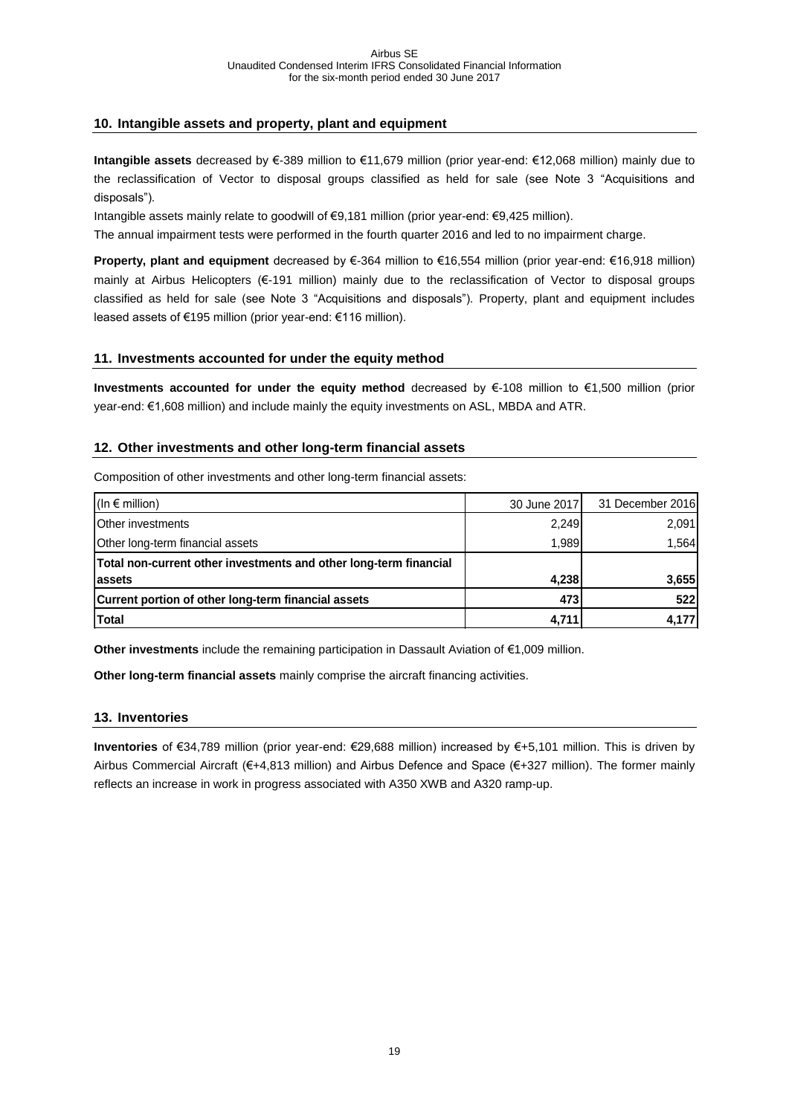#### <span id="page-18-0"></span>**10. Intangible assets and property, plant and equipment**

**Intangible assets** decreased by €-389 million to €11,679 million (prior year-end: €12,068 million) mainly due to the reclassification of Vector to disposal groups classified as held for sale (see Note 3 "Acquisitions and disposals").

Intangible assets mainly relate to goodwill of €9,181 million (prior year-end: €9,425 million).

The annual impairment tests were performed in the fourth quarter 2016 and led to no impairment charge.

**Property, plant and equipment** decreased by €-364 million to €16,554 million (prior year-end: €16,918 million) mainly at Airbus Helicopters (€-191 million) mainly due to the reclassification of Vector to disposal groups classified as held for sale (see Note 3 "Acquisitions and disposals"). Property, plant and equipment includes leased assets of €195 million (prior year-end: €116 million).

#### <span id="page-18-1"></span>**11. Investments accounted for under the equity method**

**Investments accounted for under the equity method** decreased by €-108 million to €1,500 million (prior year-end: €1,608 million) and include mainly the equity investments on ASL, MBDA and ATR.

#### <span id="page-18-2"></span>**12. Other investments and other long-term financial assets**

Composition of other investments and other long-term financial assets:

| (In $\epsilon$ million)                                           | 30 June 2017 | 31 December 2016 |
|-------------------------------------------------------------------|--------------|------------------|
| <b>Other investments</b>                                          | 2,249        | 2,091            |
| Other long-term financial assets                                  | 1,989        | 1.564            |
| Total non-current other investments and other long-term financial |              |                  |
| lassets                                                           | 4,238        | 3,655            |
| Current portion of other long-term financial assets               | 473          | 522              |
| <b>Total</b>                                                      | 4.711        | 4,177            |

**Other investments** include the remaining participation in Dassault Aviation of €1,009 million.

**Other long-term financial assets** mainly comprise the aircraft financing activities.

#### <span id="page-18-3"></span>**13. Inventories**

**Inventories** of €34,789 million (prior year-end: €29,688 million) increased by €+5,101 million. This is driven by Airbus Commercial Aircraft (€+4,813 million) and Airbus Defence and Space (€+327 million). The former mainly reflects an increase in work in progress associated with A350 XWB and A320 ramp-up.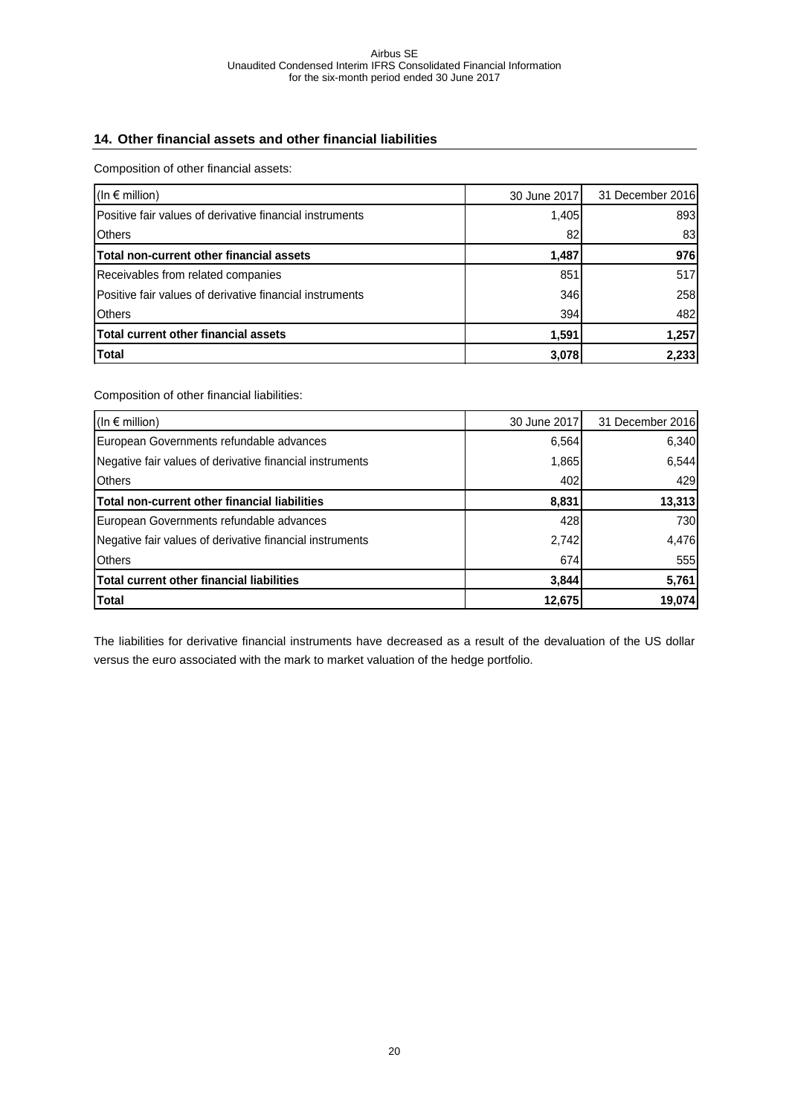## <span id="page-19-0"></span>**14. Other financial assets and other financial liabilities**

Composition of other financial assets:

| (In $\epsilon$ million)                                  | 30 June 2017 | 31 December 2016 |
|----------------------------------------------------------|--------------|------------------|
| Positive fair values of derivative financial instruments | 1,405        | 893              |
| <b>Others</b>                                            | 82           | 83               |
| Total non-current other financial assets                 | 1,487        | 976              |
| Receivables from related companies                       | 851          | 517              |
| Positive fair values of derivative financial instruments | 346          | 258              |
| <b>IOthers</b>                                           | 394          | 482              |
| <b>Total current other financial assets</b>              | 1,591        | 1,257            |
| <b>Total</b>                                             | 3,078        | 2,233            |

Composition of other financial liabilities:

| (In $\epsilon$ million)                                  | 30 June 2017 | 31 December 2016 |
|----------------------------------------------------------|--------------|------------------|
| European Governments refundable advances                 | 6,564        | 6,340            |
| Negative fair values of derivative financial instruments | 1,865        | 6,544            |
| <b>Others</b>                                            | 402          | 429              |
| Total non-current other financial liabilities            | 8,831        | 13,313           |
| European Governments refundable advances                 | 428          | 730              |
| Negative fair values of derivative financial instruments | 2,742        | 4,476            |
| <b>Others</b>                                            | 674          | 555              |
| <b>Total current other financial liabilities</b>         | 3,844        | 5,761            |
| <b>Total</b>                                             | 12,675       | 19,074           |

The liabilities for derivative financial instruments have decreased as a result of the devaluation of the US dollar versus the euro associated with the mark to market valuation of the hedge portfolio.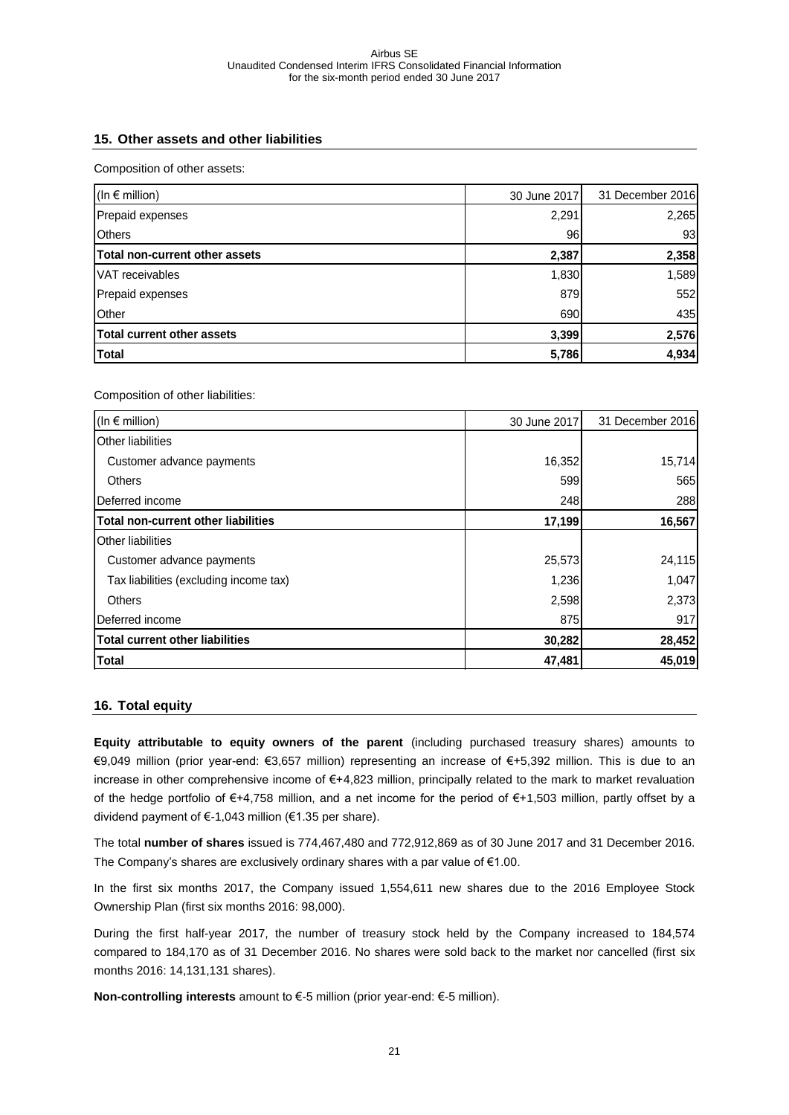### <span id="page-20-0"></span>**15. Other assets and other liabilities**

Composition of other assets:

| (In $\epsilon$ million)           | 30 June 2017 | 31 December 2016 |
|-----------------------------------|--------------|------------------|
| Prepaid expenses                  | 2,291        | 2,265            |
| <b>Others</b>                     | 96           | 93               |
| Total non-current other assets    | 2,387        | 2,358            |
| VAT receivables                   | 1,830        | 1,589            |
| Prepaid expenses                  | 879          | 552              |
| Other                             | 690          | 435              |
| <b>Total current other assets</b> | 3,399        | 2,576            |
| <b>Total</b>                      | 5,786        | 4,934            |

Composition of other liabilities:

| (In $\epsilon$ million)                    | 30 June 2017 | 31 December 2016 |
|--------------------------------------------|--------------|------------------|
| <b>Other liabilities</b>                   |              |                  |
| Customer advance payments                  | 16,352       | 15,714           |
| Others                                     | 599          | 565              |
| Deferred income                            | 248          | 288              |
| <b>Total non-current other liabilities</b> | 17,199       | 16,567           |
| <b>Other liabilities</b>                   |              |                  |
| Customer advance payments                  | 25,573       | 24,115           |
| Tax liabilities (excluding income tax)     | 1,236        | 1,047            |
| Others                                     | 2,598        | 2,373            |
| Deferred income                            | 875          | 917              |
| <b>Total current other liabilities</b>     | 30,282       | 28,452           |
| <b>Total</b>                               | 47,481       | 45,019           |

#### <span id="page-20-1"></span>**16. Total equity**

**Equity attributable to equity owners of the parent** (including purchased treasury shares) amounts to €9,049 million (prior year-end: €3,657 million) representing an increase of €+5,392 million. This is due to an increase in other comprehensive income of €+4,823 million, principally related to the mark to market revaluation of the hedge portfolio of €+4,758 million, and a net income for the period of €+1,503 million, partly offset by a dividend payment of €-1,043 million (€1.35 per share).

The total **number of shares** issued is 774,467,480 and 772,912,869 as of 30 June 2017 and 31 December 2016. The Company's shares are exclusively ordinary shares with a par value of  $€1.00$ .

In the first six months 2017, the Company issued 1,554,611 new shares due to the 2016 Employee Stock Ownership Plan (first six months 2016: 98,000).

During the first half-year 2017, the number of treasury stock held by the Company increased to 184,574 compared to 184,170 as of 31 December 2016. No shares were sold back to the market nor cancelled (first six months 2016: 14,131,131 shares).

**Non-controlling interests** amount to €-5 million (prior year-end: €-5 million).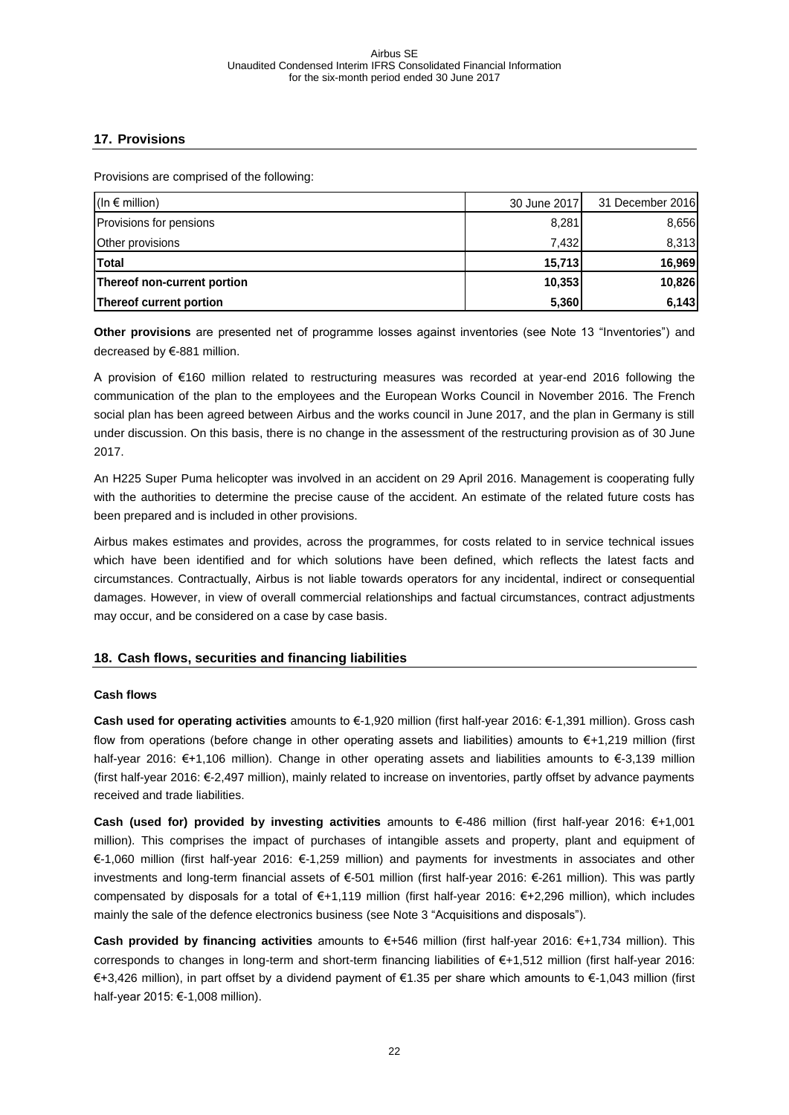## <span id="page-21-0"></span>**17. Provisions**

Provisions are comprised of the following:

| $(ln \in$ million)          | 30 June 2017 | 31 December 2016 |
|-----------------------------|--------------|------------------|
| Provisions for pensions     | 8,281        | 8,656            |
| Other provisions            | 7.432        | 8,313            |
| <b>Total</b>                | 15,713       | 16,969           |
| Thereof non-current portion | 10,353       | 10,826           |
| Thereof current portion     | 5,360        | 6,143            |

**Other provisions** are presented net of programme losses against inventories (see Note 13 "Inventories") and decreased by €-881 million.

A provision of €160 million related to restructuring measures was recorded at year-end 2016 following the communication of the plan to the employees and the European Works Council in November 2016. The French social plan has been agreed between Airbus and the works council in June 2017, and the plan in Germany is still under discussion. On this basis, there is no change in the assessment of the restructuring provision as of 30 June 2017.

An H225 Super Puma helicopter was involved in an accident on 29 April 2016. Management is cooperating fully with the authorities to determine the precise cause of the accident. An estimate of the related future costs has been prepared and is included in other provisions.

Airbus makes estimates and provides, across the programmes, for costs related to in service technical issues which have been identified and for which solutions have been defined, which reflects the latest facts and circumstances. Contractually, Airbus is not liable towards operators for any incidental, indirect or consequential damages. However, in view of overall commercial relationships and factual circumstances, contract adjustments may occur, and be considered on a case by case basis.

## <span id="page-21-1"></span>**18. Cash flows, securities and financing liabilities**

#### **Cash flows**

**Cash used for operating activities** amounts to €-1,920 million (first half-year 2016: €-1,391 million). Gross cash flow from operations (before change in other operating assets and liabilities) amounts to €+1,219 million (first half-year 2016: €+1,106 million). Change in other operating assets and liabilities amounts to €-3,139 million (first half-year 2016: €-2,497 million), mainly related to increase on inventories, partly offset by advance payments received and trade liabilities.

**Cash (used for) provided by investing activities** amounts to €-486 million (first half-year 2016: €+1,001 million). This comprises the impact of purchases of intangible assets and property, plant and equipment of €-1,060 million (first half-year 2016: €-1,259 million) and payments for investments in associates and other investments and long-term financial assets of €-501 million (first half-year 2016: €-261 million). This was partly compensated by disposals for a total of €+1,119 million (first half-year 2016: €+2,296 million), which includes mainly the sale of the defence electronics business (see Note 3 "Acquisitions and disposals").

**Cash provided by financing activities** amounts to €+546 million (first half-year 2016: €+1,734 million). This corresponds to changes in long-term and short-term financing liabilities of €+1,512 million (first half-year 2016: €+3,426 million), in part offset by a dividend payment of €1.35 per share which amounts to €-1,043 million (first half-year 2015: €-1,008 million).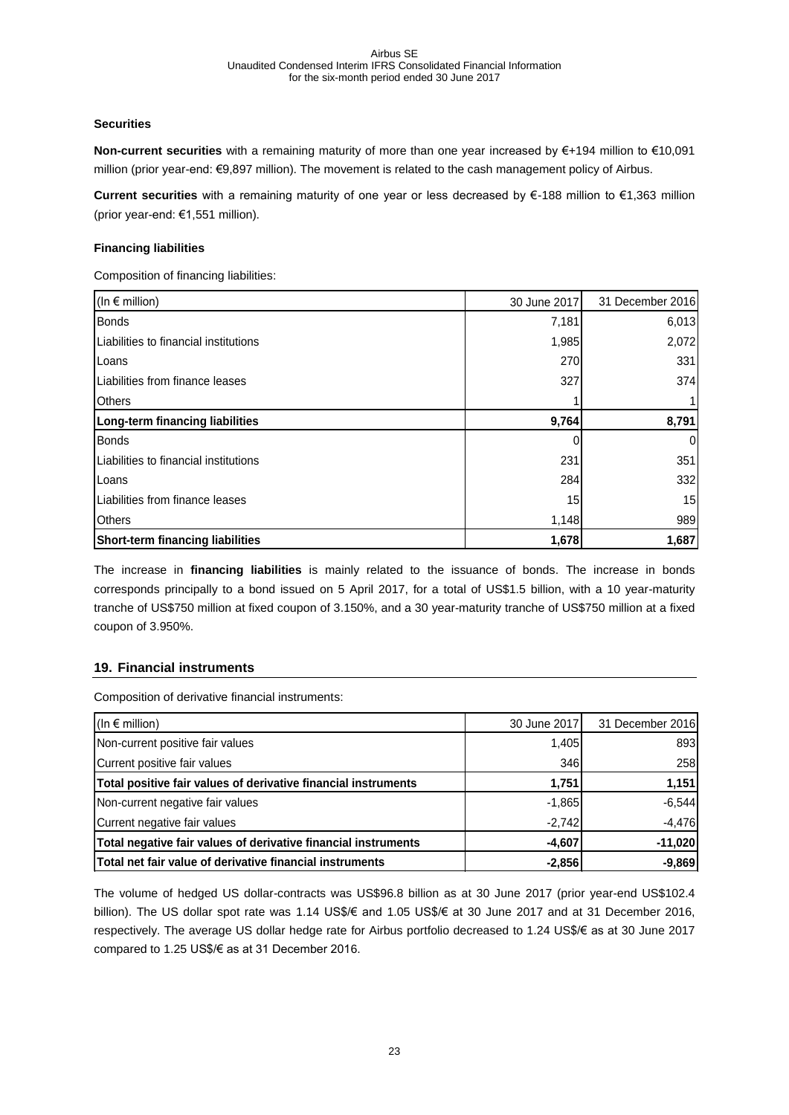#### **Securities**

**Non-current securities** with a remaining maturity of more than one year increased by €+194 million to €10,091 million (prior year-end: €9,897 million). The movement is related to the cash management policy of Airbus.

**Current securities** with a remaining maturity of one year or less decreased by €-188 million to €1,363 million (prior year-end: €1,551 million).

#### **Financing liabilities**

Composition of financing liabilities:

| (In $\epsilon$ million)                 | 30 June 2017 | 31 December 2016 |
|-----------------------------------------|--------------|------------------|
| <b>Bonds</b>                            | 7,181        | 6,013            |
| Liabilities to financial institutions   | 1,985        | 2,072            |
| Loans                                   | 270          | 331              |
| Liabilities from finance leases         | 327          | 374              |
| <b>Others</b>                           |              |                  |
| Long-term financing liabilities         | 9,764        | 8,791            |
| <b>Bonds</b>                            |              | $\Omega$         |
| Liabilities to financial institutions   | 231          | 351              |
| Loans                                   | 284          | 332              |
| Liabilities from finance leases         | 15           | 15               |
| <b>Others</b>                           | 1,148        | 989              |
| <b>Short-term financing liabilities</b> | 1,678        | 1,687            |

The increase in **financing liabilities** is mainly related to the issuance of bonds. The increase in bonds corresponds principally to a bond issued on 5 April 2017, for a total of US\$1.5 billion, with a 10 year-maturity tranche of US\$750 million at fixed coupon of 3.150%, and a 30 year-maturity tranche of US\$750 million at a fixed coupon of 3.950%.

## <span id="page-22-0"></span>**19. Financial instruments**

Composition of derivative financial instruments:

| (In $\epsilon$ million)                                        | 30 June 2017 | 31 December 2016 |
|----------------------------------------------------------------|--------------|------------------|
| Non-current positive fair values                               | 1,405        | 893              |
| Current positive fair values                                   | 346          | 258              |
| Total positive fair values of derivative financial instruments | 1,751        | 1,151            |
| Non-current negative fair values                               | $-1,865$     | $-6,544$         |
| Current negative fair values                                   | $-2.742$     | $-4,476$         |
| Total negative fair values of derivative financial instruments | $-4,607$     | $-11,020$        |
| Total net fair value of derivative financial instruments       | $-2,856$     | $-9,869$         |

The volume of hedged US dollar-contracts was US\$96.8 billion as at 30 June 2017 (prior year-end US\$102.4 billion). The US dollar spot rate was 1.14 US\$/€ and 1.05 US\$/€ at 30 June 2017 and at 31 December 2016, respectively. The average US dollar hedge rate for Airbus portfolio decreased to 1.24 US\$/€ as at 30 June 2017 compared to 1.25 US\$/€ as at 31 December 2016.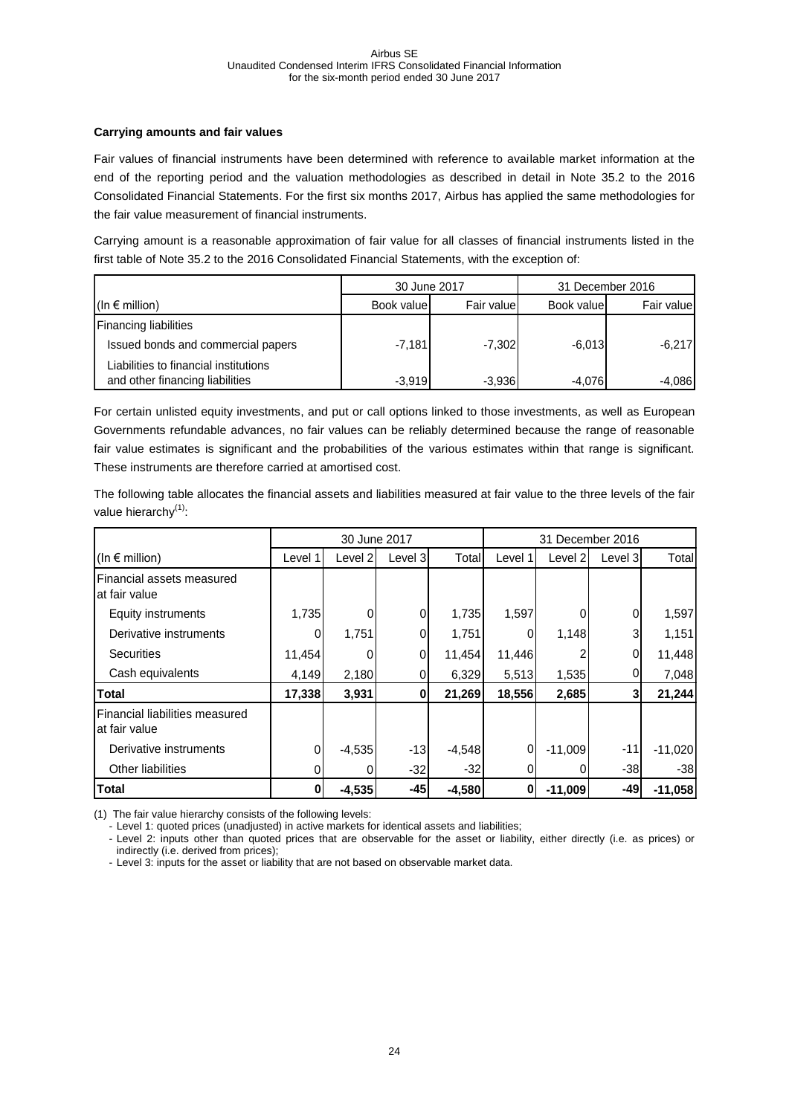#### **Carrying amounts and fair values**

Fair values of financial instruments have been determined with reference to available market information at the end of the reporting period and the valuation methodologies as described in detail in Note 35.2 to the 2016 Consolidated Financial Statements. For the first six months 2017, Airbus has applied the same methodologies for the fair value measurement of financial instruments.

Carrying amount is a reasonable approximation of fair value for all classes of financial instruments listed in the first table of Note 35.2 to the 2016 Consolidated Financial Statements, with the exception of:

|                                       | 30 June 2017 |            |            | 31 December 2016 |
|---------------------------------------|--------------|------------|------------|------------------|
| $(\ln \epsilon \text{ million})$      | Book value   | Fair value | Book value | Fair value       |
| <b>Financing liabilities</b>          |              |            |            |                  |
| Issued bonds and commercial papers    | $-7,181$     | $-7,302$   | $-6,013$   | $-6,217$         |
| Liabilities to financial institutions |              |            |            |                  |
| and other financing liabilities       | $-3.919$     | $-3,936$   | $-4.076$   | $-4.086$         |

For certain unlisted equity investments, and put or call options linked to those investments, as well as European Governments refundable advances, no fair values can be reliably determined because the range of reasonable fair value estimates is significant and the probabilities of the various estimates within that range is significant. These instruments are therefore carried at amortised cost.

The following table allocates the financial assets and liabilities measured at fair value to the three levels of the fair value hierarchy $<sup>(1)</sup>$ :</sup>

|                                                 | 30 June 2017 |          |         |          | 31 December 2016 |           |         |           |
|-------------------------------------------------|--------------|----------|---------|----------|------------------|-----------|---------|-----------|
| (In $\epsilon$ million)                         | Level 1      | Level 21 | Level 3 | Total    | Level 1          | Level 2   | Level 3 | Total     |
| Financial assets measured<br>at fair value      |              |          |         |          |                  |           |         |           |
| <b>Equity instruments</b>                       | 1,735        |          | 0       | 1,735    | 1,597            |           | 0       | 1,597     |
| Derivative instruments                          |              | 1,751    | 0       | 1,751    |                  | 1,148     | 3       | 1,151     |
| <b>Securities</b>                               | 11,454       |          | 0       | 11,454   | 11,446           |           | 0       | 11,448    |
| Cash equivalents                                | 4,149        | 2,180    | 0       | 6,329    | 5,513            | 1,535     | 0       | 7,048     |
| <b>Total</b>                                    | 17,338       | 3,931    | 0       | 21,269   | 18,556           | 2,685     | 3       | 21,244    |
| Financial liabilities measured<br>at fair value |              |          |         |          |                  |           |         |           |
| Derivative instruments                          | $\Omega$     | $-4,535$ | $-13$   | $-4,548$ | 0                | $-11,009$ | $-11$   | $-11,020$ |
| Other liabilities                               |              |          | $-32$   | $-32$    |                  |           | $-38$   | -38       |
| <b>Total</b>                                    | 01           | $-4,535$ | $-45$   | $-4,580$ | 0                | $-11,009$ | -49     | $-11,058$ |

(1) The fair value hierarchy consists of the following levels:

- Level 1: quoted prices (unadjusted) in active markets for identical assets and liabilities;

- Level 2: inputs other than quoted prices that are observable for the asset or liability, either directly (i.e. as prices) or indirectly (i.e. derived from prices);

- Level 3: inputs for the asset or liability that are not based on observable market data.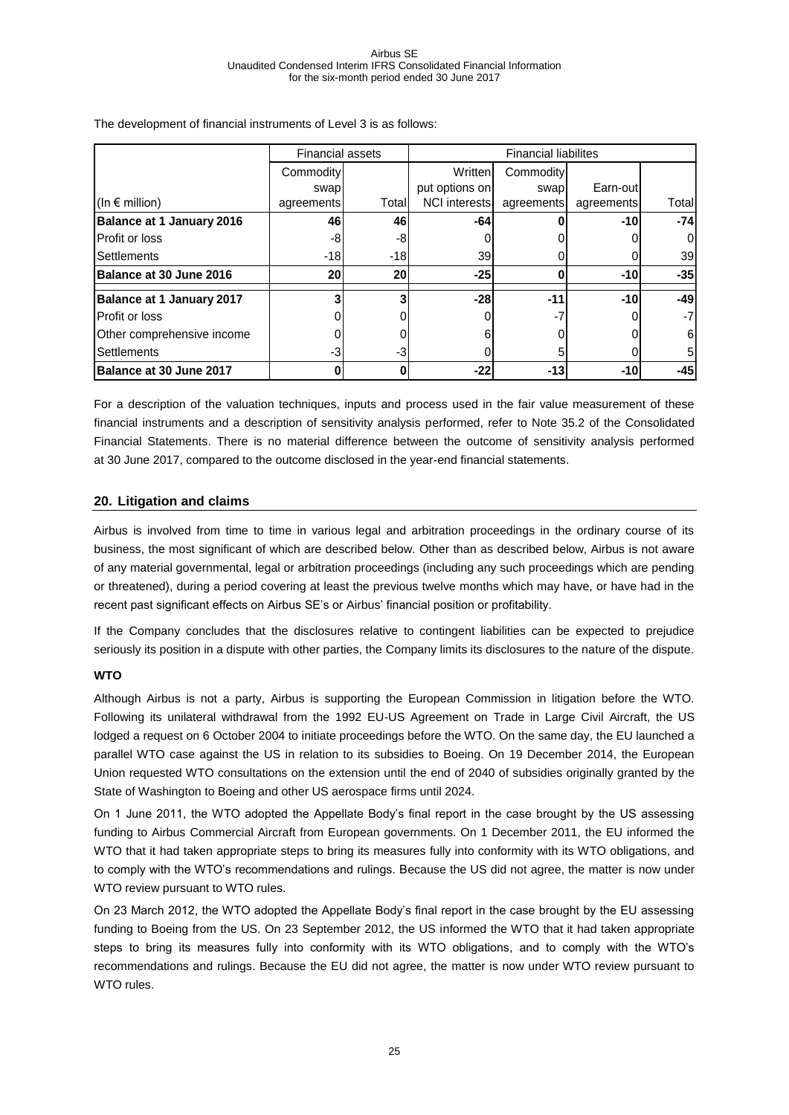|                                  | <b>Financial assets</b> |       | <b>Financial liabilites</b> |            |            |        |
|----------------------------------|-------------------------|-------|-----------------------------|------------|------------|--------|
|                                  | Commodity               |       | Written                     | Commodity  |            |        |
|                                  | swap                    |       | put options on              | swap       | Earn-out   |        |
| (In $\epsilon$ million)          | agreements              | Total | <b>NCI</b> interests        | agreements | agreements | Totall |
| <b>Balance at 1 January 2016</b> | 46                      | 46    | -64                         |            | $-10$      | $-74$  |
| Profit or loss                   | -8                      | -8    |                             |            |            | 01     |
| <b>Settlements</b>               | $-18$                   | -18   | 39                          |            |            | 39     |
| Balance at 30 June 2016          | 20                      | 20    | -25                         |            | $-10$      | $-35$  |
| <b>Balance at 1 January 2017</b> |                         |       | $-28$                       | -11        | $-10$      | $-49$  |
| Profit or loss                   |                         |       |                             | - 1        |            | $-7$   |
| Other comprehensive income       |                         |       |                             |            |            | 61     |
| <b>Settlements</b>               | $-3$                    | -3    |                             |            |            | 51     |
| Balance at 30 June 2017          | U                       | O     | $-22$                       | $-13$      | $-10$      | $-45$  |

The development of financial instruments of Level 3 is as follows:

For a description of the valuation techniques, inputs and process used in the fair value measurement of these financial instruments and a description of sensitivity analysis performed, refer to Note 35.2 of the Consolidated Financial Statements. There is no material difference between the outcome of sensitivity analysis performed at 30 June 2017, compared to the outcome disclosed in the year-end financial statements.

#### <span id="page-24-0"></span>**20. Litigation and claims**

Airbus is involved from time to time in various legal and arbitration proceedings in the ordinary course of its business, the most significant of which are described below. Other than as described below, Airbus is not aware of any material governmental, legal or arbitration proceedings (including any such proceedings which are pending or threatened), during a period covering at least the previous twelve months which may have, or have had in the recent past significant effects on Airbus SE's or Airbus' financial position or profitability.

If the Company concludes that the disclosures relative to contingent liabilities can be expected to prejudice seriously its position in a dispute with other parties, the Company limits its disclosures to the nature of the dispute.

#### **WTO**

Although Airbus is not a party, Airbus is supporting the European Commission in litigation before the WTO. Following its unilateral withdrawal from the 1992 EU-US Agreement on Trade in Large Civil Aircraft, the US lodged a request on 6 October 2004 to initiate proceedings before the WTO. On the same day, the EU launched a parallel WTO case against the US in relation to its subsidies to Boeing. On 19 December 2014, the European Union requested WTO consultations on the extension until the end of 2040 of subsidies originally granted by the State of Washington to Boeing and other US aerospace firms until 2024.

On 1 June 2011, the WTO adopted the Appellate Body's final report in the case brought by the US assessing funding to Airbus Commercial Aircraft from European governments. On 1 December 2011, the EU informed the WTO that it had taken appropriate steps to bring its measures fully into conformity with its WTO obligations, and to comply with the WTO's recommendations and rulings. Because the US did not agree, the matter is now under WTO review pursuant to WTO rules.

On 23 March 2012, the WTO adopted the Appellate Body's final report in the case brought by the EU assessing funding to Boeing from the US. On 23 September 2012, the US informed the WTO that it had taken appropriate steps to bring its measures fully into conformity with its WTO obligations, and to comply with the WTO's recommendations and rulings. Because the EU did not agree, the matter is now under WTO review pursuant to WTO rules.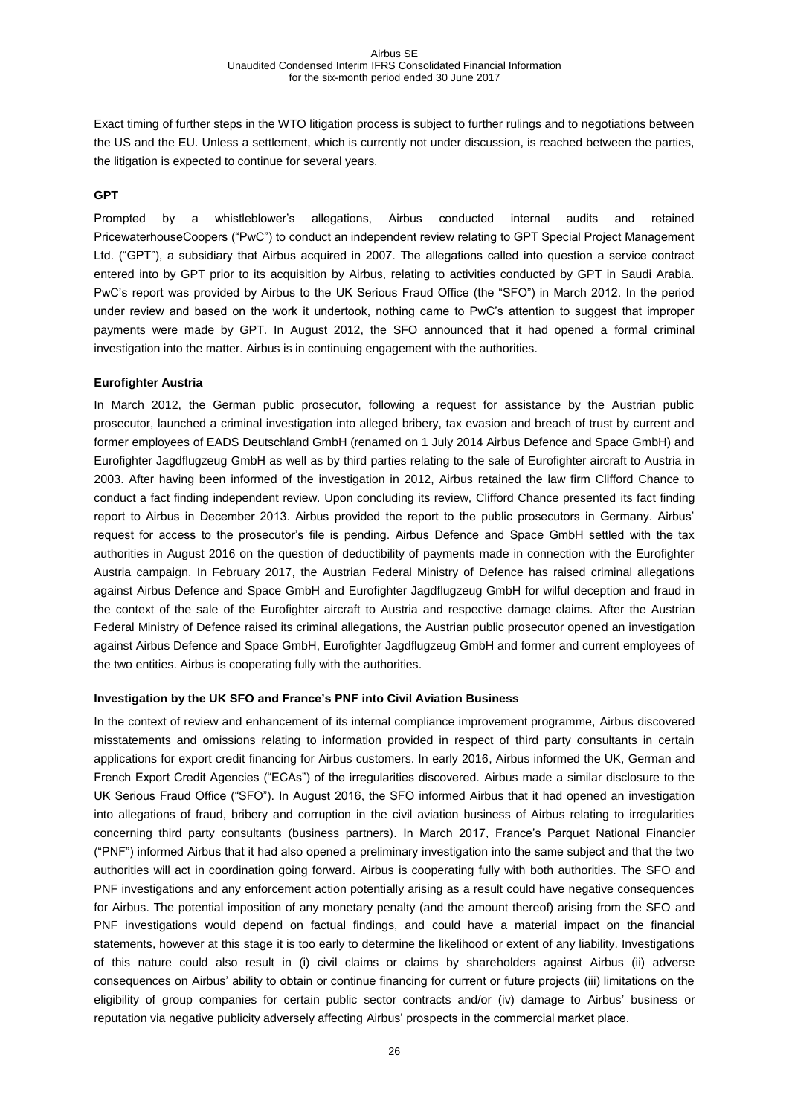Exact timing of further steps in the WTO litigation process is subject to further rulings and to negotiations between the US and the EU. Unless a settlement, which is currently not under discussion, is reached between the parties, the litigation is expected to continue for several years.

#### **GPT**

Prompted by a whistleblower's allegations, Airbus conducted internal audits and retained PricewaterhouseCoopers ("PwC") to conduct an independent review relating to GPT Special Project Management Ltd. ("GPT"), a subsidiary that Airbus acquired in 2007. The allegations called into question a service contract entered into by GPT prior to its acquisition by Airbus, relating to activities conducted by GPT in Saudi Arabia. PwC's report was provided by Airbus to the UK Serious Fraud Office (the "SFO") in March 2012. In the period under review and based on the work it undertook, nothing came to PwC's attention to suggest that improper payments were made by GPT. In August 2012, the SFO announced that it had opened a formal criminal investigation into the matter. Airbus is in continuing engagement with the authorities.

#### **Eurofighter Austria**

In March 2012, the German public prosecutor, following a request for assistance by the Austrian public prosecutor, launched a criminal investigation into alleged bribery, tax evasion and breach of trust by current and former employees of EADS Deutschland GmbH (renamed on 1 July 2014 Airbus Defence and Space GmbH) and Eurofighter Jagdflugzeug GmbH as well as by third parties relating to the sale of Eurofighter aircraft to Austria in 2003. After having been informed of the investigation in 2012, Airbus retained the law firm Clifford Chance to conduct a fact finding independent review. Upon concluding its review, Clifford Chance presented its fact finding report to Airbus in December 2013. Airbus provided the report to the public prosecutors in Germany. Airbus' request for access to the prosecutor's file is pending. Airbus Defence and Space GmbH settled with the tax authorities in August 2016 on the question of deductibility of payments made in connection with the Eurofighter Austria campaign. In February 2017, the Austrian Federal Ministry of Defence has raised criminal allegations against Airbus Defence and Space GmbH and Eurofighter Jagdflugzeug GmbH for wilful deception and fraud in the context of the sale of the Eurofighter aircraft to Austria and respective damage claims. After the Austrian Federal Ministry of Defence raised its criminal allegations, the Austrian public prosecutor opened an investigation against Airbus Defence and Space GmbH, Eurofighter Jagdflugzeug GmbH and former and current employees of the two entities. Airbus is cooperating fully with the authorities.

#### **Investigation by the UK SFO and France's PNF into Civil Aviation Business**

In the context of review and enhancement of its internal compliance improvement programme, Airbus discovered misstatements and omissions relating to information provided in respect of third party consultants in certain applications for export credit financing for Airbus customers. In early 2016, Airbus informed the UK, German and French Export Credit Agencies ("ECAs") of the irregularities discovered. Airbus made a similar disclosure to the UK Serious Fraud Office ("SFO"). In August 2016, the SFO informed Airbus that it had opened an investigation into allegations of fraud, bribery and corruption in the civil aviation business of Airbus relating to irregularities concerning third party consultants (business partners). In March 2017, France's Parquet National Financier ("PNF") informed Airbus that it had also opened a preliminary investigation into the same subject and that the two authorities will act in coordination going forward. Airbus is cooperating fully with both authorities. The SFO and PNF investigations and any enforcement action potentially arising as a result could have negative consequences for Airbus. The potential imposition of any monetary penalty (and the amount thereof) arising from the SFO and PNF investigations would depend on factual findings, and could have a material impact on the financial statements, however at this stage it is too early to determine the likelihood or extent of any liability. Investigations of this nature could also result in (i) civil claims or claims by shareholders against Airbus (ii) adverse consequences on Airbus' ability to obtain or continue financing for current or future projects (iii) limitations on the eligibility of group companies for certain public sector contracts and/or (iv) damage to Airbus' business or reputation via negative publicity adversely affecting Airbus' prospects in the commercial market place.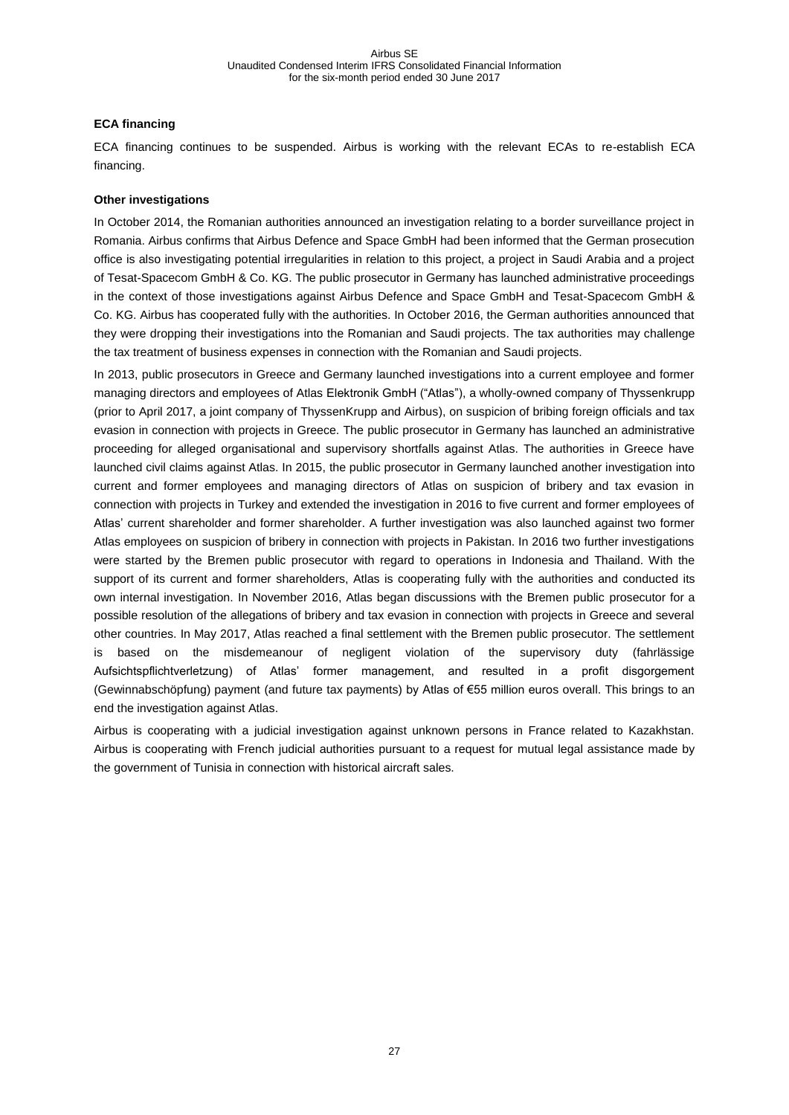#### **ECA financing**

ECA financing continues to be suspended. Airbus is working with the relevant ECAs to re-establish ECA financing.

#### **Other investigations**

In October 2014, the Romanian authorities announced an investigation relating to a border surveillance project in Romania. Airbus confirms that Airbus Defence and Space GmbH had been informed that the German prosecution office is also investigating potential irregularities in relation to this project, a project in Saudi Arabia and a project of Tesat-Spacecom GmbH & Co. KG. The public prosecutor in Germany has launched administrative proceedings in the context of those investigations against Airbus Defence and Space GmbH and Tesat-Spacecom GmbH & Co. KG. Airbus has cooperated fully with the authorities. In October 2016, the German authorities announced that they were dropping their investigations into the Romanian and Saudi projects. The tax authorities may challenge the tax treatment of business expenses in connection with the Romanian and Saudi projects.

In 2013, public prosecutors in Greece and Germany launched investigations into a current employee and former managing directors and employees of Atlas Elektronik GmbH ("Atlas"), a wholly-owned company of Thyssenkrupp (prior to April 2017, a joint company of ThyssenKrupp and Airbus), on suspicion of bribing foreign officials and tax evasion in connection with projects in Greece. The public prosecutor in Germany has launched an administrative proceeding for alleged organisational and supervisory shortfalls against Atlas. The authorities in Greece have launched civil claims against Atlas. In 2015, the public prosecutor in Germany launched another investigation into current and former employees and managing directors of Atlas on suspicion of bribery and tax evasion in connection with projects in Turkey and extended the investigation in 2016 to five current and former employees of Atlas' current shareholder and former shareholder. A further investigation was also launched against two former Atlas employees on suspicion of bribery in connection with projects in Pakistan. In 2016 two further investigations were started by the Bremen public prosecutor with regard to operations in Indonesia and Thailand. With the support of its current and former shareholders, Atlas is cooperating fully with the authorities and conducted its own internal investigation. In November 2016, Atlas began discussions with the Bremen public prosecutor for a possible resolution of the allegations of bribery and tax evasion in connection with projects in Greece and several other countries. In May 2017, Atlas reached a final settlement with the Bremen public prosecutor. The settlement is based on the misdemeanour of negligent violation of the supervisory duty (fahrlässige Aufsichtspflichtverletzung) of Atlas' former management, and resulted in a profit disgorgement (Gewinnabschöpfung) payment (and future tax payments) by Atlas of €55 million euros overall. This brings to an end the investigation against Atlas.

Airbus is cooperating with a judicial investigation against unknown persons in France related to Kazakhstan. Airbus is cooperating with French judicial authorities pursuant to a request for mutual legal assistance made by the government of Tunisia in connection with historical aircraft sales.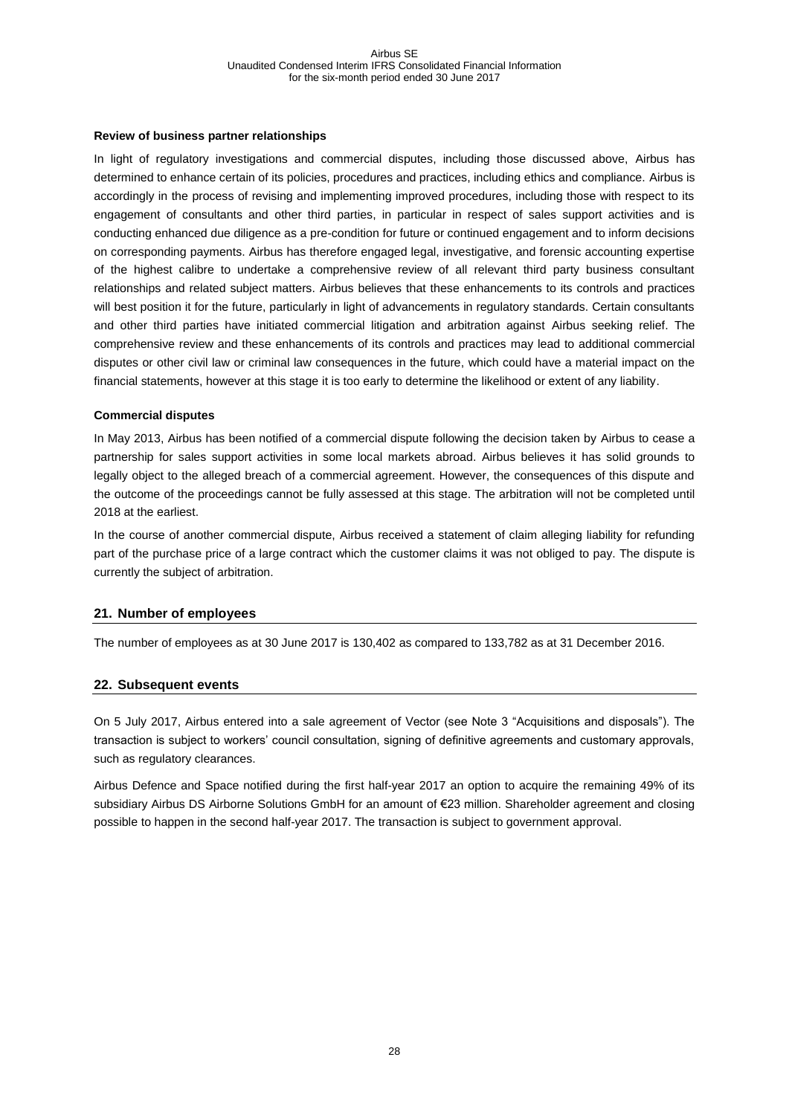#### **Review of business partner relationships**

In light of regulatory investigations and commercial disputes, including those discussed above, Airbus has determined to enhance certain of its policies, procedures and practices, including ethics and compliance. Airbus is accordingly in the process of revising and implementing improved procedures, including those with respect to its engagement of consultants and other third parties, in particular in respect of sales support activities and is conducting enhanced due diligence as a pre-condition for future or continued engagement and to inform decisions on corresponding payments. Airbus has therefore engaged legal, investigative, and forensic accounting expertise of the highest calibre to undertake a comprehensive review of all relevant third party business consultant relationships and related subject matters. Airbus believes that these enhancements to its controls and practices will best position it for the future, particularly in light of advancements in regulatory standards. Certain consultants and other third parties have initiated commercial litigation and arbitration against Airbus seeking relief. The comprehensive review and these enhancements of its controls and practices may lead to additional commercial disputes or other civil law or criminal law consequences in the future, which could have a material impact on the financial statements, however at this stage it is too early to determine the likelihood or extent of any liability.

#### **Commercial disputes**

In May 2013, Airbus has been notified of a commercial dispute following the decision taken by Airbus to cease a partnership for sales support activities in some local markets abroad. Airbus believes it has solid grounds to legally object to the alleged breach of a commercial agreement. However, the consequences of this dispute and the outcome of the proceedings cannot be fully assessed at this stage. The arbitration will not be completed until 2018 at the earliest.

In the course of another commercial dispute, Airbus received a statement of claim alleging liability for refunding part of the purchase price of a large contract which the customer claims it was not obliged to pay. The dispute is currently the subject of arbitration.

#### <span id="page-27-0"></span>**21. Number of employees**

The number of employees as at 30 June 2017 is 130,402 as compared to 133,782 as at 31 December 2016.

#### <span id="page-27-1"></span>**22. Subsequent events**

On 5 July 2017, Airbus entered into a sale agreement of Vector (see Note 3 "Acquisitions and disposals"). The transaction is subject to workers' council consultation, signing of definitive agreements and customary approvals, such as regulatory clearances.

Airbus Defence and Space notified during the first half-year 2017 an option to acquire the remaining 49% of its subsidiary Airbus DS Airborne Solutions GmbH for an amount of €23 million. Shareholder agreement and closing possible to happen in the second half-year 2017. The transaction is subject to government approval.